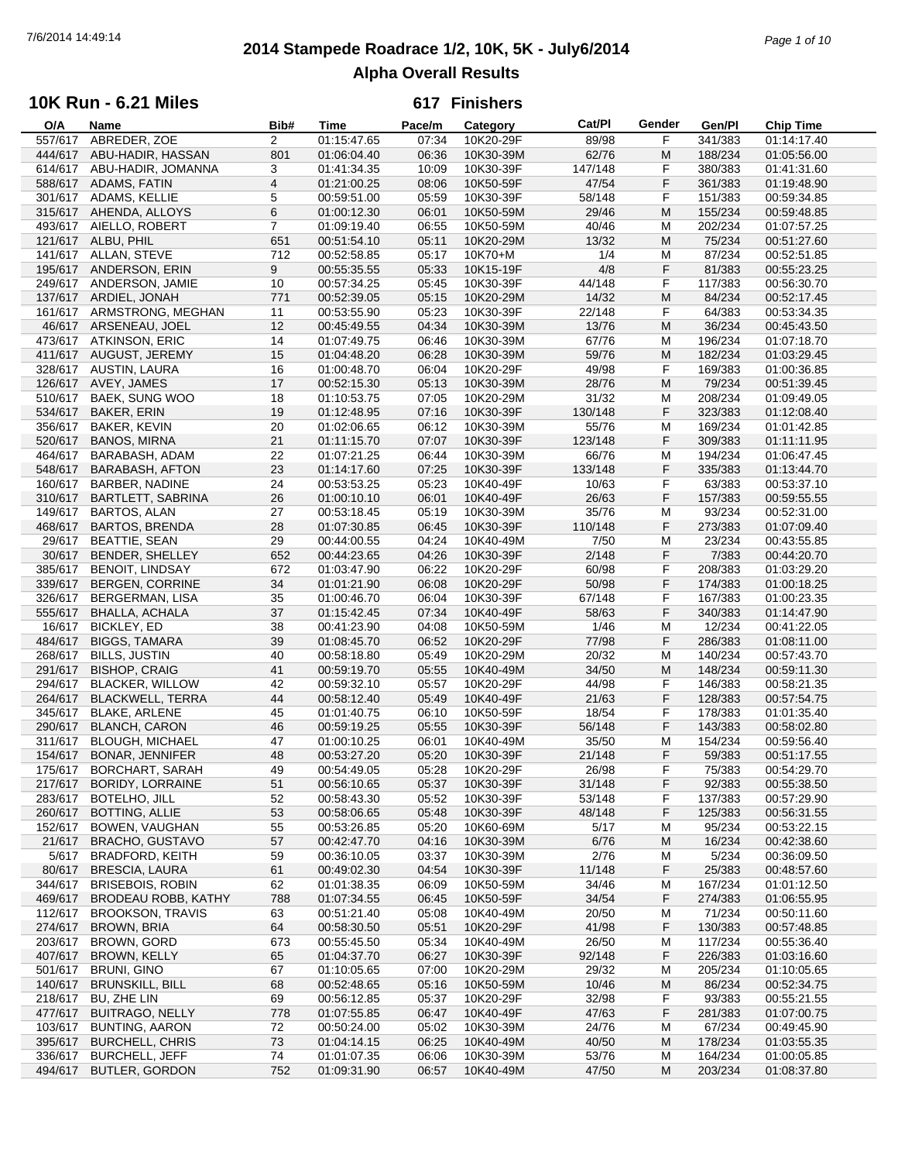## **2014 Stampede Roadrace 1/2, 10K, 5K - July6/2014** 7/6/2014 14:49:14 *Page 1 of 10* **Alpha Overall Results**

## **10K Run - 6.21 Miles**

| O/A     | Name                       | Bib#           | <b>Time</b> | Pace/m | Category  | Cat/PI  | Gender | Gen/Pl  | <b>Chip Time</b> |
|---------|----------------------------|----------------|-------------|--------|-----------|---------|--------|---------|------------------|
| 557/617 | ABREDER, ZOE               | $\overline{2}$ | 01:15:47.65 | 07:34  | 10K20-29F | 89/98   | F      | 341/383 | 01:14:17.40      |
| 444/617 | ABU-HADIR, HASSAN          | 801            | 01:06:04.40 | 06:36  | 10K30-39M | 62/76   | M      | 188/234 | 01:05:56.00      |
| 614/617 | ABU-HADIR, JOMANNA         | 3              | 01:41:34.35 | 10:09  | 10K30-39F | 147/148 | F      | 380/383 | 01:41:31.60      |
| 588/617 | ADAMS, FATIN               | $\overline{4}$ | 01:21:00.25 | 08:06  | 10K50-59F | 47/54   | F      | 361/383 | 01:19:48.90      |
|         | 301/617 ADAMS, KELLIE      | 5              | 00:59:51.00 | 05:59  | 10K30-39F | 58/148  | F      | 151/383 | 00:59:34.85      |
|         |                            |                |             |        |           |         |        |         |                  |
| 315/617 | AHENDA, ALLOYS             | 6              | 01:00:12.30 | 06:01  | 10K50-59M | 29/46   | M      | 155/234 | 00:59:48.85      |
| 493/617 | AIELLO, ROBERT             | $\overline{7}$ | 01:09:19.40 | 06:55  | 10K50-59M | 40/46   | M      | 202/234 | 01:07:57.25      |
|         | 121/617 ALBU, PHIL         | 651            | 00:51:54.10 | 05:11  | 10K20-29M | 13/32   | M      | 75/234  | 00:51:27.60      |
|         | 141/617 ALLAN, STEVE       | 712            | 00:52:58.85 | 05:17  | 10K70+M   | 1/4     | M      | 87/234  | 00:52:51.85      |
| 195/617 | ANDERSON, ERIN             | 9              | 00:55:35.55 | 05:33  | 10K15-19F | 4/8     | F      | 81/383  | 00:55:23.25      |
| 249/617 | ANDERSON, JAMIE            | 10             | 00:57:34.25 | 05:45  | 10K30-39F | 44/148  | F      | 117/383 | 00:56:30.70      |
|         | 137/617 ARDIEL, JONAH      | 771            | 00:52:39.05 | 05:15  | 10K20-29M | 14/32   | M      | 84/234  | 00:52:17.45      |
|         | 161/617 ARMSTRONG, MEGHAN  | 11             | 00:53:55.90 | 05:23  | 10K30-39F | 22/148  | F      | 64/383  | 00:53:34.35      |
|         | 46/617 ARSENEAU, JOEL      | 12             | 00:45:49.55 | 04:34  | 10K30-39M | 13/76   | M      | 36/234  | 00:45:43.50      |
|         |                            |                |             |        |           |         |        |         |                  |
| 473/617 | <b>ATKINSON, ERIC</b>      | 14             | 01:07:49.75 | 06:46  | 10K30-39M | 67/76   | M      | 196/234 | 01:07:18.70      |
|         | 411/617 AUGUST, JEREMY     | 15             | 01:04:48.20 | 06:28  | 10K30-39M | 59/76   | M      | 182/234 | 01:03:29.45      |
|         | 328/617 AUSTIN, LAURA      | 16             | 01:00:48.70 | 06:04  | 10K20-29F | 49/98   | F      | 169/383 | 01:00:36.85      |
| 126/617 | AVEY, JAMES                | 17             | 00:52:15.30 | 05:13  | 10K30-39M | 28/76   | M      | 79/234  | 00:51:39.45      |
| 510/617 | <b>BAEK, SUNG WOO</b>      | 18             | 01:10:53.75 | 07:05  | 10K20-29M | 31/32   | M      | 208/234 | 01:09:49.05      |
| 534/617 | <b>BAKER, ERIN</b>         | 19             | 01:12:48.95 | 07:16  | 10K30-39F | 130/148 | F      | 323/383 | 01:12:08.40      |
| 356/617 | <b>BAKER, KEVIN</b>        | 20             | 01:02:06.65 | 06:12  | 10K30-39M | 55/76   | M      | 169/234 | 01:01:42.85      |
| 520/617 | <b>BANOS, MIRNA</b>        | 21             | 01:11:15.70 | 07:07  | 10K30-39F | 123/148 | F      | 309/383 | 01:11:11.95      |
|         |                            |                |             |        |           |         |        |         |                  |
| 464/617 | BARABASH, ADAM             | 22             | 01:07:21.25 | 06:44  | 10K30-39M | 66/76   | м      | 194/234 | 01:06:47.45      |
| 548/617 | <b>BARABASH, AFTON</b>     | 23             | 01:14:17.60 | 07:25  | 10K30-39F | 133/148 | F      | 335/383 | 01:13:44.70      |
| 160/617 | BARBER, NADINE             | 24             | 00:53:53.25 | 05:23  | 10K40-49F | 10/63   | F      | 63/383  | 00:53:37.10      |
| 310/617 | <b>BARTLETT, SABRINA</b>   | 26             | 01:00:10.10 | 06:01  | 10K40-49F | 26/63   | F      | 157/383 | 00:59:55.55      |
| 149/617 | <b>BARTOS, ALAN</b>        | 27             | 00:53:18.45 | 05:19  | 10K30-39M | 35/76   | M      | 93/234  | 00:52:31.00      |
| 468/617 | <b>BARTOS, BRENDA</b>      | 28             | 01:07:30.85 | 06:45  | 10K30-39F | 110/148 | F      | 273/383 | 01:07:09.40      |
| 29/617  | <b>BEATTIE, SEAN</b>       | 29             | 00:44:00.55 | 04:24  | 10K40-49M | 7/50    | M      | 23/234  | 00:43:55.85      |
| 30/617  | BENDER, SHELLEY            | 652            | 00:44:23.65 | 04:26  | 10K30-39F | 2/148   | F      | 7/383   | 00:44:20.70      |
|         |                            |                |             |        |           |         |        |         |                  |
| 385/617 | <b>BENOIT, LINDSAY</b>     | 672            | 01:03:47.90 | 06:22  | 10K20-29F | 60/98   | F      | 208/383 | 01:03:29.20      |
| 339/617 | BERGEN, CORRINE            | 34             | 01:01:21.90 | 06:08  | 10K20-29F | 50/98   | F      | 174/383 | 01:00:18.25      |
| 326/617 | <b>BERGERMAN, LISA</b>     | 35             | 01:00:46.70 | 06:04  | 10K30-39F | 67/148  | F      | 167/383 | 01:00:23.35      |
| 555/617 | <b>BHALLA, ACHALA</b>      | 37             | 01:15:42.45 | 07:34  | 10K40-49F | 58/63   | F      | 340/383 | 01:14:47.90      |
| 16/617  | <b>BICKLEY, ED</b>         | 38             | 00:41:23.90 | 04:08  | 10K50-59M | 1/46    | M      | 12/234  | 00:41:22.05      |
| 484/617 | <b>BIGGS, TAMARA</b>       | 39             | 01:08:45.70 | 06:52  | 10K20-29F | 77/98   | F      | 286/383 | 01:08:11.00      |
| 268/617 | <b>BILLS, JUSTIN</b>       | 40             | 00:58:18.80 | 05:49  | 10K20-29M | 20/32   | M      | 140/234 | 00:57:43.70      |
| 291/617 | <b>BISHOP, CRAIG</b>       | 41             | 00:59:19.70 | 05:55  | 10K40-49M | 34/50   | M      | 148/234 | 00:59:11.30      |
| 294/617 | <b>BLACKER, WILLOW</b>     | 42             | 00:59:32.10 | 05:57  | 10K20-29F | 44/98   | F      | 146/383 | 00:58:21.35      |
| 264/617 | <b>BLACKWELL, TERRA</b>    | 44             | 00:58:12.40 | 05:49  | 10K40-49F | 21/63   | F      | 128/383 | 00:57:54.75      |
|         |                            |                |             |        |           |         |        |         |                  |
| 345/617 | <b>BLAKE, ARLENE</b>       | 45             | 01:01:40.75 | 06:10  | 10K50-59F | 18/54   | F      | 178/383 | 01:01:35.40      |
| 290/617 | <b>BLANCH, CARON</b>       | 46             | 00:59:19.25 | 05:55  | 10K30-39F | 56/148  | F      | 143/383 | 00:58:02.80      |
| 311/617 | <b>BLOUGH, MICHAEL</b>     | 47             | 01:00:10.25 | 06:01  | 10K40-49M | 35/50   | M      | 154/234 | 00:59:56.40      |
| 154/617 | <b>BONAR, JENNIFER</b>     | 48             | 00:53:27.20 | 05:20  | 10K30-39F | 21/148  | F      | 59/383  | 00:51:17.55      |
|         | 175/617 BORCHART, SARAH    | 49             | 00:54:49.05 | 05:28  | 10K20-29F | 26/98   | F      | 75/383  | 00:54:29.70      |
| 217/617 | <b>BORIDY, LORRAINE</b>    | 51             | 00:56:10.65 | 05:37  | 10K30-39F | 31/148  | F      | 92/383  | 00:55:38.50      |
| 283/617 | <b>BOTELHO, JILL</b>       | 52             | 00:58:43.30 | 05:52  | 10K30-39F | 53/148  | F      | 137/383 | 00:57:29.90      |
| 260/617 | <b>BOTTING, ALLIE</b>      | 53             | 00:58:06.65 | 05:48  | 10K30-39F | 48/148  | F      | 125/383 | 00:56:31.55      |
| 152/617 | BOWEN, VAUGHAN             | 55             | 00:53:26.85 | 05:20  | 10K60-69M | 5/17    | M      | 95/234  | 00:53:22.15      |
| 21/617  | <b>BRACHO, GUSTAVO</b>     | 57             | 00:42:47.70 | 04:16  | 10K30-39M | 6/76    | M      | 16/234  | 00:42:38.60      |
|         |                            |                |             |        |           |         |        |         |                  |
| 5/617   | <b>BRADFORD, KEITH</b>     | 59             | 00:36:10.05 | 03:37  | 10K30-39M | 2/76    | M      | 5/234   | 00:36:09.50      |
| 80/617  | <b>BRESCIA, LAURA</b>      | 61             | 00:49:02.30 | 04:54  | 10K30-39F | 11/148  | F      | 25/383  | 00:48:57.60      |
| 344/617 | <b>BRISEBOIS, ROBIN</b>    | 62             | 01:01:38.35 | 06:09  | 10K50-59M | 34/46   | M      | 167/234 | 01:01:12.50      |
| 469/617 | <b>BRODEAU ROBB, KATHY</b> | 788            | 01:07:34.55 | 06:45  | 10K50-59F | 34/54   | F      | 274/383 | 01:06:55.95      |
| 112/617 | <b>BROOKSON, TRAVIS</b>    | 63             | 00:51:21.40 | 05:08  | 10K40-49M | 20/50   | M      | 71/234  | 00:50:11.60      |
| 274/617 | BROWN, BRIA                | 64             | 00:58:30.50 | 05:51  | 10K20-29F | 41/98   | F      | 130/383 | 00:57:48.85      |
| 203/617 | BROWN, GORD                | 673            | 00:55:45.50 | 05:34  | 10K40-49M | 26/50   | M      | 117/234 | 00:55:36.40      |
| 407/617 | <b>BROWN, KELLY</b>        | 65             | 01:04:37.70 | 06:27  | 10K30-39F | 92/148  | F      | 226/383 | 01:03:16.60      |
| 501/617 | <b>BRUNI, GINO</b>         | 67             | 01:10:05.65 | 07:00  | 10K20-29M | 29/32   | M      | 205/234 | 01:10:05.65      |
| 140/617 | <b>BRUNSKILL, BILL</b>     | 68             |             | 05:16  | 10K50-59M |         |        | 86/234  | 00:52:34.75      |
|         |                            |                | 00:52:48.65 |        |           | 10/46   | M      |         |                  |
| 218/617 | BU, ZHE LIN                | 69             | 00:56:12.85 | 05:37  | 10K20-29F | 32/98   | F      | 93/383  | 00:55:21.55      |
| 477/617 | <b>BUITRAGO, NELLY</b>     | 778            | 01:07:55.85 | 06:47  | 10K40-49F | 47/63   | F      | 281/383 | 01:07:00.75      |
| 103/617 | <b>BUNTING, AARON</b>      | 72             | 00:50:24.00 | 05:02  | 10K30-39M | 24/76   | м      | 67/234  | 00:49:45.90      |
| 395/617 | <b>BURCHELL, CHRIS</b>     | 73             | 01:04:14.15 | 06:25  | 10K40-49M | 40/50   | M      | 178/234 | 01:03:55.35      |
| 336/617 | <b>BURCHELL, JEFF</b>      | 74             | 01:01:07.35 | 06:06  | 10K30-39M | 53/76   | M      | 164/234 | 01:00:05.85      |
|         | 494/617 BUTLER, GORDON     | 752            | 01:09:31.90 | 06:57  | 10K40-49M | 47/50   | M      | 203/234 | 01:08:37.80      |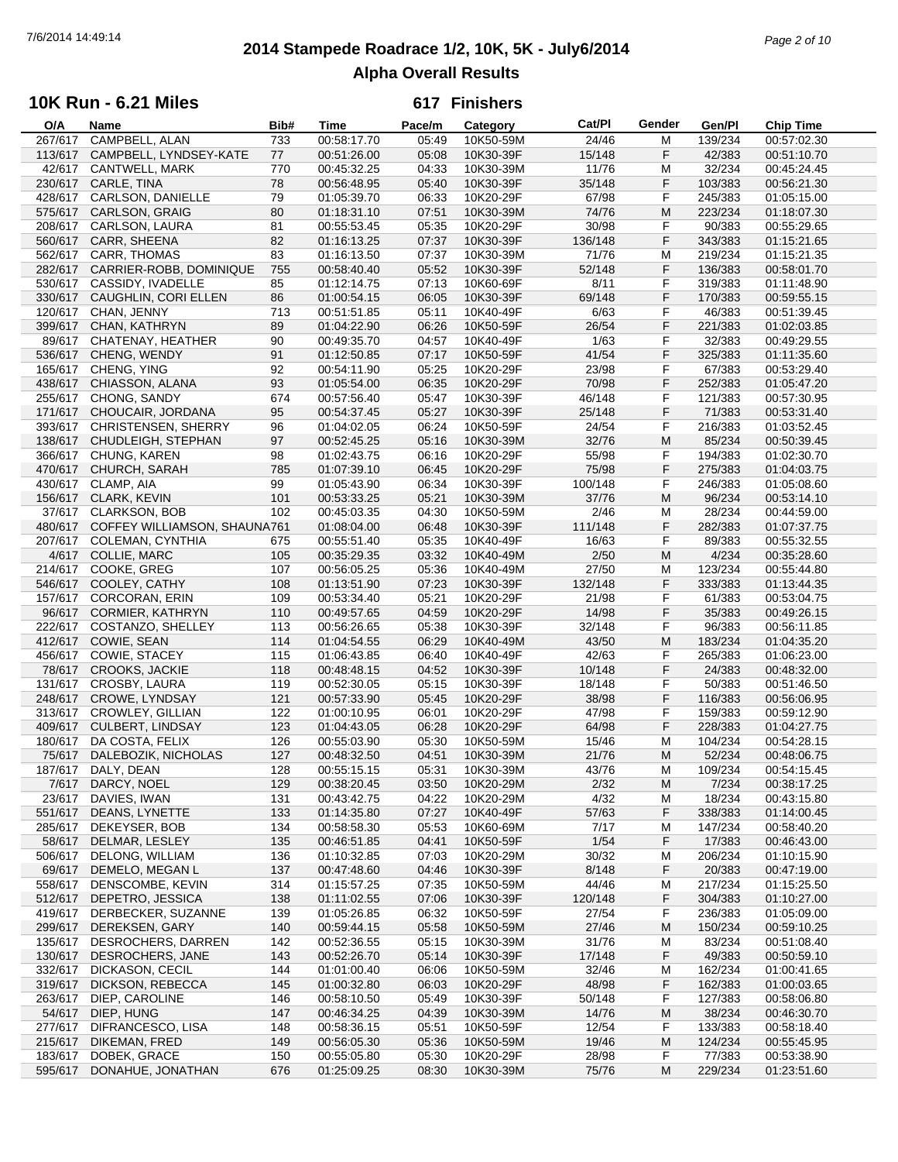# **2014 Stampede Roadrace 1/2, 10K, 5K - July6/2014** 7/6/2014 14:49:14 *Page 2 of 10* **Alpha Overall Results**

### **10K Run - 6.21 Miles**

| O/A     | Name                         | Bib# | <b>Time</b> | Pace/m | Category  | Cat/PI  | Gender | Gen/Pl  | <b>Chip Time</b> |
|---------|------------------------------|------|-------------|--------|-----------|---------|--------|---------|------------------|
| 267/617 | CAMPBELL, ALAN               | 733  | 00:58:17.70 | 05:49  | 10K50-59M | 24/46   | M      | 139/234 | 00:57:02.30      |
| 113/617 | CAMPBELL, LYNDSEY-KATE       | 77   | 00:51:26.00 | 05:08  | 10K30-39F | 15/148  | F      | 42/383  | 00:51:10.70      |
| 42/617  |                              |      |             |        |           |         |        |         |                  |
|         | CANTWELL, MARK               | 770  | 00:45:32.25 | 04:33  | 10K30-39M | 11/76   | M      | 32/234  | 00:45:24.45      |
| 230/617 | CARLE, TINA                  | 78   | 00:56:48.95 | 05:40  | 10K30-39F | 35/148  | F      | 103/383 | 00:56:21.30      |
| 428/617 | CARLSON, DANIELLE            | 79   | 01:05:39.70 | 06:33  | 10K20-29F | 67/98   | F      | 245/383 | 01:05:15.00      |
| 575/617 | <b>CARLSON, GRAIG</b>        | 80   | 01:18:31.10 | 07:51  | 10K30-39M | 74/76   | M      | 223/234 | 01:18:07.30      |
| 208/617 | CARLSON, LAURA               | 81   | 00:55:53.45 | 05:35  | 10K20-29F | 30/98   | F      | 90/383  | 00:55:29.65      |
|         |                              |      |             |        |           |         |        |         |                  |
| 560/617 | CARR, SHEENA                 | 82   | 01:16:13.25 | 07:37  | 10K30-39F | 136/148 | F      | 343/383 | 01:15:21.65      |
| 562/617 | CARR, THOMAS                 | 83   | 01:16:13.50 | 07:37  | 10K30-39M | 71/76   | M      | 219/234 | 01:15:21.35      |
| 282/617 | CARRIER-ROBB, DOMINIQUE      | 755  | 00:58:40.40 | 05:52  | 10K30-39F | 52/148  | F      | 136/383 | 00:58:01.70      |
| 530/617 | CASSIDY, IVADELLE            | 85   | 01:12:14.75 | 07:13  | 10K60-69F | 8/11    | F      | 319/383 | 01:11:48.90      |
| 330/617 | CAUGHLIN, CORI ELLEN         | 86   | 01:00:54.15 | 06:05  | 10K30-39F | 69/148  | F      | 170/383 | 00:59:55.15      |
|         |                              |      |             |        |           |         |        |         |                  |
| 120/617 | CHAN, JENNY                  | 713  | 00:51:51.85 | 05:11  | 10K40-49F | 6/63    | F      | 46/383  | 00:51:39.45      |
| 399/617 | CHAN, KATHRYN                | 89   | 01:04:22.90 | 06:26  | 10K50-59F | 26/54   | F      | 221/383 | 01:02:03.85      |
| 89/617  | CHATENAY, HEATHER            | 90   | 00:49:35.70 | 04:57  | 10K40-49F | 1/63    | F      | 32/383  | 00:49:29.55      |
| 536/617 | CHENG, WENDY                 | 91   | 01:12:50.85 | 07:17  | 10K50-59F | 41/54   | F      | 325/383 | 01:11:35.60      |
| 165/617 | CHENG, YING                  | 92   | 00:54:11.90 | 05:25  | 10K20-29F | 23/98   | F      | 67/383  | 00:53:29.40      |
|         |                              |      |             | 06:35  |           |         | F      |         |                  |
| 438/617 | CHIASSON, ALANA              | 93   | 01:05:54.00 |        | 10K20-29F | 70/98   |        | 252/383 | 01:05:47.20      |
| 255/617 | CHONG, SANDY                 | 674  | 00:57:56.40 | 05:47  | 10K30-39F | 46/148  | F      | 121/383 | 00:57:30.95      |
| 171/617 | CHOUCAIR, JORDANA            | 95   | 00:54:37.45 | 05:27  | 10K30-39F | 25/148  | F      | 71/383  | 00:53:31.40      |
| 393/617 | <b>CHRISTENSEN, SHERRY</b>   | 96   | 01:04:02.05 | 06:24  | 10K50-59F | 24/54   | F      | 216/383 | 01:03:52.45      |
| 138/617 | CHUDLEIGH, STEPHAN           | 97   | 00:52:45.25 | 05:16  | 10K30-39M | 32/76   | M      | 85/234  | 00:50:39.45      |
|         |                              |      |             |        |           | 55/98   |        |         |                  |
| 366/617 | CHUNG, KAREN                 | 98   | 01:02:43.75 | 06:16  | 10K20-29F |         | F      | 194/383 | 01:02:30.70      |
| 470/617 | CHURCH, SARAH                | 785  | 01:07:39.10 | 06:45  | 10K20-29F | 75/98   | F      | 275/383 | 01:04:03.75      |
| 430/617 | CLAMP, AIA                   | 99   | 01:05:43.90 | 06:34  | 10K30-39F | 100/148 | F      | 246/383 | 01:05:08.60      |
|         | 156/617 CLARK, KEVIN         | 101  | 00:53:33.25 | 05:21  | 10K30-39M | 37/76   | M      | 96/234  | 00:53:14.10      |
| 37/617  | <b>CLARKSON, BOB</b>         | 102  | 00:45:03.35 | 04:30  | 10K50-59M | 2/46    | M      | 28/234  | 00:44:59.00      |
|         |                              |      |             |        |           |         | F      |         |                  |
| 480/617 | COFFEY WILLIAMSON, SHAUNA761 |      | 01:08:04.00 | 06:48  | 10K30-39F | 111/148 |        | 282/383 | 01:07:37.75      |
| 207/617 | COLEMAN, CYNTHIA             | 675  | 00:55:51.40 | 05:35  | 10K40-49F | 16/63   | F      | 89/383  | 00:55:32.55      |
| 4/617   | COLLIE, MARC                 | 105  | 00:35:29.35 | 03:32  | 10K40-49M | 2/50    | M      | 4/234   | 00:35:28.60      |
| 214/617 | COOKE, GREG                  | 107  | 00:56:05.25 | 05:36  | 10K40-49M | 27/50   | M      | 123/234 | 00:55:44.80      |
| 546/617 | COOLEY, CATHY                | 108  | 01:13:51.90 | 07:23  | 10K30-39F | 132/148 | F      | 333/383 | 01:13:44.35      |
|         |                              |      | 00:53:34.40 | 05:21  |           | 21/98   | F      |         |                  |
| 157/617 | <b>CORCORAN, ERIN</b>        | 109  |             |        | 10K20-29F |         |        | 61/383  | 00:53:04.75      |
| 96/617  | <b>CORMIER, KATHRYN</b>      | 110  | 00:49:57.65 | 04:59  | 10K20-29F | 14/98   | F      | 35/383  | 00:49:26.15      |
| 222/617 | COSTANZO, SHELLEY            | 113  | 00:56:26.65 | 05:38  | 10K30-39F | 32/148  | F      | 96/383  | 00:56:11.85      |
| 412/617 | COWIE, SEAN                  | 114  | 01:04:54.55 | 06:29  | 10K40-49M | 43/50   | M      | 183/234 | 01:04:35.20      |
| 456/617 | COWIE, STACEY                | 115  | 01:06:43.85 | 06:40  | 10K40-49F | 42/63   | F      | 265/383 | 01:06:23.00      |
|         | 78/617 CROOKS, JACKIE        | 118  | 00:48:48.15 | 04:52  | 10K30-39F | 10/148  | F      | 24/383  | 00:48:32.00      |
|         |                              |      |             |        |           |         |        |         |                  |
| 131/617 | CROSBY, LAURA                | 119  | 00:52:30.05 | 05:15  | 10K30-39F | 18/148  | F      | 50/383  | 00:51:46.50      |
| 248/617 | <b>CROWE, LYNDSAY</b>        | 121  | 00:57:33.90 | 05:45  | 10K20-29F | 38/98   | F      | 116/383 | 00:56:06.95      |
| 313/617 | <b>CROWLEY, GILLIAN</b>      | 122  | 01:00:10.95 | 06:01  | 10K20-29F | 47/98   | F      | 159/383 | 00:59:12.90      |
| 409/617 | CULBERT, LINDSAY             | 123  | 01:04:43.05 | 06:28  | 10K20-29F | 64/98   | F      | 228/383 | 01:04:27.75      |
| 180/617 | DA COSTA, FELIX              | 126  | 00:55:03.90 | 05:30  | 10K50-59M | 15/46   | M      | 104/234 | 00:54:28.15      |
| 75/617  | DALEBOZIK, NICHOLAS          | 127  | 00:48:32.50 | 04:51  | 10K30-39M | 21/76   | M      | 52/234  | 00:48:06.75      |
|         |                              |      |             |        |           |         |        |         |                  |
|         | 187/617 DALY, DEAN           | 128  | 00:55:15.15 | 05:31  | 10K30-39M | 43/76   | M      | 109/234 | 00:54:15.45      |
|         | 7/617 DARCY, NOEL            | 129  | 00:38:20.45 | 03:50  | 10K20-29M | 2/32    | M      | 7/234   | 00:38:17.25      |
| 23/617  | DAVIES, IWAN                 | 131  | 00:43:42.75 | 04:22  | 10K20-29M | 4/32    | M      | 18/234  | 00:43:15.80      |
| 551/617 | DEANS, LYNETTE               | 133  | 01:14:35.80 | 07:27  | 10K40-49F | 57/63   | F      | 338/383 | 01:14:00.45      |
| 285/617 | DEKEYSER, BOB                | 134  | 00:58:58.30 | 05:53  | 10K60-69M | 7/17    | M      | 147/234 | 00:58:40.20      |
|         |                              |      |             |        |           |         |        |         |                  |
| 58/617  | DELMAR, LESLEY               | 135  | 00:46:51.85 | 04:41  | 10K50-59F | 1/54    | F      | 17/383  | 00:46:43.00      |
| 506/617 | DELONG, WILLIAM              | 136  | 01:10:32.85 | 07:03  | 10K20-29M | 30/32   | M      | 206/234 | 01:10:15.90      |
| 69/617  | DEMELO, MEGAN L              | 137  | 00:47:48.60 | 04:46  | 10K30-39F | 8/148   | F      | 20/383  | 00:47:19.00      |
| 558/617 | DENSCOMBE, KEVIN             | 314  | 01:15:57.25 | 07:35  | 10K50-59M | 44/46   | M      | 217/234 | 01:15:25.50      |
| 512/617 | DEPETRO, JESSICA             | 138  | 01:11:02.55 | 07:06  | 10K30-39F | 120/148 | F      | 304/383 | 01:10:27.00      |
| 419/617 | DERBECKER, SUZANNE           | 139  | 01:05:26.85 | 06:32  | 10K50-59F | 27/54   | F      | 236/383 | 01:05:09.00      |
|         |                              |      |             |        |           |         |        |         |                  |
| 299/617 | DEREKSEN, GARY               | 140  | 00:59:44.15 | 05:58  | 10K50-59M | 27/46   | M      | 150/234 | 00:59:10.25      |
| 135/617 | DESROCHERS, DARREN           | 142  | 00:52:36.55 | 05:15  | 10K30-39M | 31/76   | M      | 83/234  | 00:51:08.40      |
| 130/617 | DESROCHERS, JANE             | 143  | 00:52:26.70 | 05:14  | 10K30-39F | 17/148  | F      | 49/383  | 00:50:59.10      |
| 332/617 | DICKASON, CECIL              | 144  | 01:01:00.40 | 06:06  | 10K50-59M | 32/46   | M      | 162/234 | 01:00:41.65      |
| 319/617 | DICKSON, REBECCA             | 145  | 01:00:32.80 | 06:03  | 10K20-29F | 48/98   | F      | 162/383 | 01:00:03.65      |
|         |                              |      |             |        |           |         |        |         |                  |
| 263/617 | DIEP, CAROLINE               | 146  | 00:58:10.50 | 05:49  | 10K30-39F | 50/148  | F      | 127/383 | 00:58:06.80      |
| 54/617  | DIEP, HUNG                   | 147  | 00:46:34.25 | 04:39  | 10K30-39M | 14/76   | M      | 38/234  | 00:46:30.70      |
| 277/617 | DIFRANCESCO, LISA            | 148  | 00:58:36.15 | 05:51  | 10K50-59F | 12/54   | F      | 133/383 | 00:58:18.40      |
| 215/617 | DIKEMAN, FRED                | 149  | 00:56:05.30 | 05:36  | 10K50-59M | 19/46   | M      | 124/234 | 00:55:45.95      |
| 183/617 | DOBEK, GRACE                 | 150  | 00:55:05.80 | 05:30  | 10K20-29F | 28/98   | F      | 77/383  | 00:53:38.90      |
|         |                              |      |             |        |           |         |        |         |                  |
| 595/617 | DONAHUE, JONATHAN            | 676  | 01:25:09.25 | 08:30  | 10K30-39M | 75/76   | M      | 229/234 | 01:23:51.60      |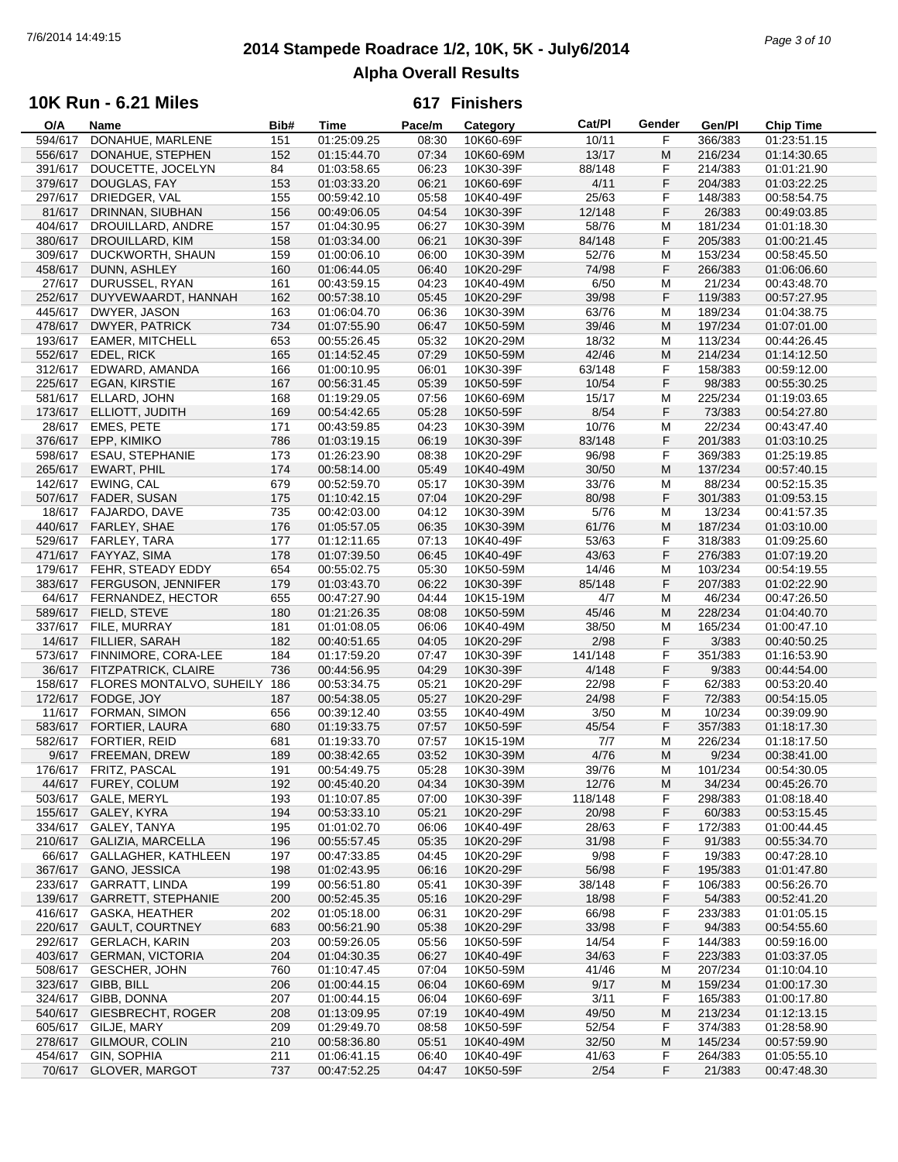# **2014 Stampede Roadrace 1/2, 10K, 5K - July6/2014** 7/6/2014 14:49:15 *Page 3 of 10* **Alpha Overall Results**

## **10K Run - 6.21 Miles**

| O/A     | Name                      | Bib# | Time        | Pace/m | Category  | Cat/PI  | Gender | Gen/Pl  | <b>Chip Time</b> |
|---------|---------------------------|------|-------------|--------|-----------|---------|--------|---------|------------------|
| 594/617 | DONAHUE, MARLENE          | 151  | 01:25:09.25 | 08:30  | 10K60-69F | 10/11   | F      | 366/383 | 01:23:51.15      |
| 556/617 | DONAHUE, STEPHEN          | 152  | 01:15:44.70 | 07:34  | 10K60-69M | 13/17   | M      | 216/234 | 01:14:30.65      |
| 391/617 | DOUCETTE, JOCELYN         | 84   | 01:03:58.65 | 06:23  | 10K30-39F | 88/148  | F      | 214/383 | 01:01:21.90      |
| 379/617 | DOUGLAS, FAY              | 153  | 01:03:33.20 | 06:21  | 10K60-69F | 4/11    | F      | 204/383 | 01:03:22.25      |
| 297/617 | DRIEDGER, VAL             | 155  | 00:59:42.10 | 05:58  | 10K40-49F | 25/63   | F      | 148/383 | 00:58:54.75      |
| 81/617  |                           |      |             |        | 10K30-39F |         | F      |         |                  |
|         | DRINNAN, SIUBHAN          | 156  | 00:49:06.05 | 04:54  |           | 12/148  |        | 26/383  | 00:49:03.85      |
| 404/617 | DROUILLARD, ANDRE         | 157  | 01:04:30.95 | 06:27  | 10K30-39M | 58/76   | M      | 181/234 | 01:01:18.30      |
| 380/617 | <b>DROUILLARD, KIM</b>    | 158  | 01:03:34.00 | 06:21  | 10K30-39F | 84/148  | F      | 205/383 | 01:00:21.45      |
| 309/617 | DUCKWORTH, SHAUN          | 159  | 01:00:06.10 | 06:00  | 10K30-39M | 52/76   | M      | 153/234 | 00:58:45.50      |
| 458/617 | DUNN, ASHLEY              | 160  | 01:06:44.05 | 06:40  | 10K20-29F | 74/98   | F      | 266/383 | 01:06:06.60      |
| 27/617  | DURUSSEL, RYAN            | 161  | 00:43:59.15 | 04:23  | 10K40-49M | 6/50    | м      | 21/234  | 00:43:48.70      |
| 252/617 | DUYVEWAARDT, HANNAH       | 162  | 00:57:38.10 | 05:45  | 10K20-29F | 39/98   | F      | 119/383 | 00:57:27.95      |
| 445/617 | DWYER, JASON              | 163  | 01:06:04.70 | 06:36  | 10K30-39M | 63/76   | M      | 189/234 | 01:04:38.75      |
| 478/617 | <b>DWYER, PATRICK</b>     | 734  | 01:07:55.90 | 06:47  | 10K50-59M | 39/46   | M      | 197/234 | 01:07:01.00      |
| 193/617 | EAMER, MITCHELL           | 653  | 00:55:26.45 | 05:32  | 10K20-29M | 18/32   | M      | 113/234 | 00:44:26.45      |
| 552/617 | EDEL, RICK                | 165  | 01:14:52.45 | 07:29  | 10K50-59M | 42/46   | M      | 214/234 | 01:14:12.50      |
| 312/617 | EDWARD, AMANDA            | 166  | 01:00:10.95 | 06:01  | 10K30-39F | 63/148  | F      | 158/383 | 00:59:12.00      |
| 225/617 |                           |      |             | 05:39  |           |         | F      |         |                  |
|         | <b>EGAN, KIRSTIE</b>      | 167  | 00:56:31.45 |        | 10K50-59F | 10/54   |        | 98/383  | 00:55:30.25      |
| 581/617 | ELLARD, JOHN              | 168  | 01:19:29.05 | 07:56  | 10K60-69M | 15/17   | M      | 225/234 | 01:19:03.65      |
| 173/617 | ELLIOTT, JUDITH           | 169  | 00:54:42.65 | 05:28  | 10K50-59F | 8/54    | F      | 73/383  | 00:54:27.80      |
| 28/617  | EMES, PETE                | 171  | 00:43:59.85 | 04:23  | 10K30-39M | 10/76   | M      | 22/234  | 00:43:47.40      |
| 376/617 | EPP, KIMIKO               | 786  | 01:03:19.15 | 06:19  | 10K30-39F | 83/148  | F      | 201/383 | 01:03:10.25      |
| 598/617 | ESAU, STEPHANIE           | 173  | 01:26:23.90 | 08:38  | 10K20-29F | 96/98   | F      | 369/383 | 01:25:19.85      |
| 265/617 | EWART, PHIL               | 174  | 00:58:14.00 | 05:49  | 10K40-49M | 30/50   | M      | 137/234 | 00:57:40.15      |
| 142/617 | EWING, CAL                | 679  | 00:52:59.70 | 05:17  | 10K30-39M | 33/76   | M      | 88/234  | 00:52:15.35      |
| 507/617 | FADER, SUSAN              | 175  | 01:10:42.15 | 07:04  | 10K20-29F | 80/98   | F      | 301/383 | 01:09:53.15      |
| 18/617  | FAJARDO, DAVE             | 735  | 00:42:03.00 | 04:12  | 10K30-39M | 5/76    | M      | 13/234  | 00:41:57.35      |
| 440/617 | FARLEY, SHAE              | 176  | 01:05:57.05 | 06:35  | 10K30-39M | 61/76   | M      | 187/234 |                  |
|         |                           |      |             |        |           |         |        |         | 01:03:10.00      |
| 529/617 | FARLEY, TARA              | 177  | 01:12:11.65 | 07:13  | 10K40-49F | 53/63   | F      | 318/383 | 01:09:25.60      |
| 471/617 | FAYYAZ, SIMA              | 178  | 01:07:39.50 | 06:45  | 10K40-49F | 43/63   | F      | 276/383 | 01:07:19.20      |
| 179/617 | FEHR, STEADY EDDY         | 654  | 00:55:02.75 | 05:30  | 10K50-59M | 14/46   | M      | 103/234 | 00:54:19.55      |
| 383/617 | FERGUSON, JENNIFER        | 179  | 01:03:43.70 | 06:22  | 10K30-39F | 85/148  | F      | 207/383 | 01:02:22.90      |
| 64/617  | FERNANDEZ, HECTOR         | 655  | 00:47:27.90 | 04:44  | 10K15-19M | 4/7     | M      | 46/234  | 00:47:26.50      |
| 589/617 | FIELD, STEVE              | 180  | 01:21:26.35 | 08:08  | 10K50-59M | 45/46   | M      | 228/234 | 01:04:40.70      |
| 337/617 | FILE, MURRAY              | 181  | 01:01:08.05 | 06:06  | 10K40-49M | 38/50   | M      | 165/234 | 01:00:47.10      |
| 14/617  | FILLIER, SARAH            | 182  | 00:40:51.65 | 04:05  | 10K20-29F | 2/98    | F      | 3/383   | 00:40:50.25      |
| 573/617 | FINNIMORE, CORA-LEE       | 184  | 01:17:59.20 | 07:47  | 10K30-39F | 141/148 | F      | 351/383 | 01:16:53.90      |
| 36/617  | FITZPATRICK, CLAIRE       | 736  | 00:44:56.95 | 04:29  | 10K30-39F | 4/148   | F      | 9/383   | 00:44:54.00      |
|         |                           |      |             |        |           | 22/98   | F      |         |                  |
| 158/617 | FLORES MONTALVO, SUHEILY  | 186  | 00:53:34.75 | 05:21  | 10K20-29F |         |        | 62/383  | 00:53:20.40      |
| 172/617 | FODGE, JOY                | 187  | 00:54:38.05 | 05:27  | 10K20-29F | 24/98   | F      | 72/383  | 00:54:15.05      |
| 11/617  | FORMAN, SIMON             | 656  | 00:39:12.40 | 03:55  | 10K40-49M | 3/50    | M      | 10/234  | 00:39:09.90      |
| 583/617 | FORTIER, LAURA            | 680  | 01:19:33.75 | 07:57  | 10K50-59F | 45/54   | F      | 357/383 | 01:18:17.30      |
| 582/617 | FORTIER, REID             | 681  | 01:19:33.70 | 07:57  | 10K15-19M | 7/7     | M      | 226/234 | 01:18:17.50      |
| 9/617   | FREEMAN, DREW             | 189  | 00:38:42.65 | 03:52  | 10K30-39M | 4/76    | M      | 9/234   | 00:38:41.00      |
|         | 176/617 FRITZ, PASCAL     | 191  | 00:54:49.75 | 05:28  | 10K30-39M | 39/76   | M      | 101/234 | 00:54:30.05      |
|         | 44/617 FUREY, COLUM       | 192  | 00:45:40.20 | 04:34  | 10K30-39M | 12/76   | M      | 34/234  | 00:45:26.70      |
| 503/617 | <b>GALE, MERYL</b>        | 193  | 01:10:07.85 | 07:00  | 10K30-39F | 118/148 | F      | 298/383 | 01:08:18.40      |
| 155/617 | GALEY, KYRA               | 194  | 00:53:33.10 | 05:21  | 10K20-29F | 20/98   | F      | 60/383  | 00:53:15.45      |
| 334/617 | GALEY, TANYA              | 195  | 01:01:02.70 | 06:06  | 10K40-49F | 28/63   | F      | 172/383 | 01:00:44.45      |
|         |                           |      |             |        |           |         |        |         |                  |
| 210/617 | GALIZIA, MARCELLA         | 196  | 00:55:57.45 | 05:35  | 10K20-29F | 31/98   | F      | 91/383  | 00:55:34.70      |
| 66/617  | GALLAGHER, KATHLEEN       | 197  | 00:47:33.85 | 04:45  | 10K20-29F | 9/98    | F      | 19/383  | 00:47:28.10      |
| 367/617 | GANO, JESSICA             | 198  | 01:02:43.95 | 06:16  | 10K20-29F | 56/98   | F      | 195/383 | 01:01:47.80      |
| 233/617 | <b>GARRATT, LINDA</b>     | 199  | 00:56:51.80 | 05:41  | 10K30-39F | 38/148  | F      | 106/383 | 00:56:26.70      |
| 139/617 | <b>GARRETT, STEPHANIE</b> | 200  | 00:52:45.35 | 05:16  | 10K20-29F | 18/98   | F      | 54/383  | 00:52:41.20      |
| 416/617 | <b>GASKA, HEATHER</b>     | 202  | 01:05:18.00 | 06:31  | 10K20-29F | 66/98   | F      | 233/383 | 01:01:05.15      |
| 220/617 | <b>GAULT, COURTNEY</b>    | 683  | 00:56:21.90 | 05:38  | 10K20-29F | 33/98   | F      | 94/383  | 00:54:55.60      |
| 292/617 | <b>GERLACH, KARIN</b>     | 203  | 00:59:26.05 | 05:56  | 10K50-59F | 14/54   | F      | 144/383 | 00:59:16.00      |
| 403/617 | <b>GERMAN, VICTORIA</b>   | 204  | 01:04:30.35 | 06:27  | 10K40-49F | 34/63   | F      | 223/383 | 01:03:37.05      |
| 508/617 | <b>GESCHER, JOHN</b>      | 760  | 01:10:47.45 | 07:04  | 10K50-59M | 41/46   | M      | 207/234 | 01:10:04.10      |
| 323/617 | GIBB, BILL                | 206  | 01:00:44.15 | 06:04  | 10K60-69M | 9/17    | M      | 159/234 | 01:00:17.30      |
|         |                           |      |             |        |           |         |        |         |                  |
| 324/617 | GIBB, DONNA               | 207  | 01:00:44.15 | 06:04  | 10K60-69F | 3/11    | F      | 165/383 | 01:00:17.80      |
| 540/617 | <b>GIESBRECHT, ROGER</b>  | 208  | 01:13:09.95 | 07:19  | 10K40-49M | 49/50   | M      | 213/234 | 01:12:13.15      |
| 605/617 | GILJE, MARY               | 209  | 01:29:49.70 | 08:58  | 10K50-59F | 52/54   | F      | 374/383 | 01:28:58.90      |
| 278/617 | GILMOUR, COLIN            | 210  | 00:58:36.80 | 05:51  | 10K40-49M | 32/50   | M      | 145/234 | 00:57:59.90      |
| 454/617 | GIN, SOPHIA               | 211  | 01:06:41.15 | 06:40  | 10K40-49F | 41/63   | F      | 264/383 | 01:05:55.10      |
|         | 70/617 GLOVER, MARGOT     | 737  | 00:47:52.25 | 04:47  | 10K50-59F | 2/54    | F      | 21/383  | 00:47:48.30      |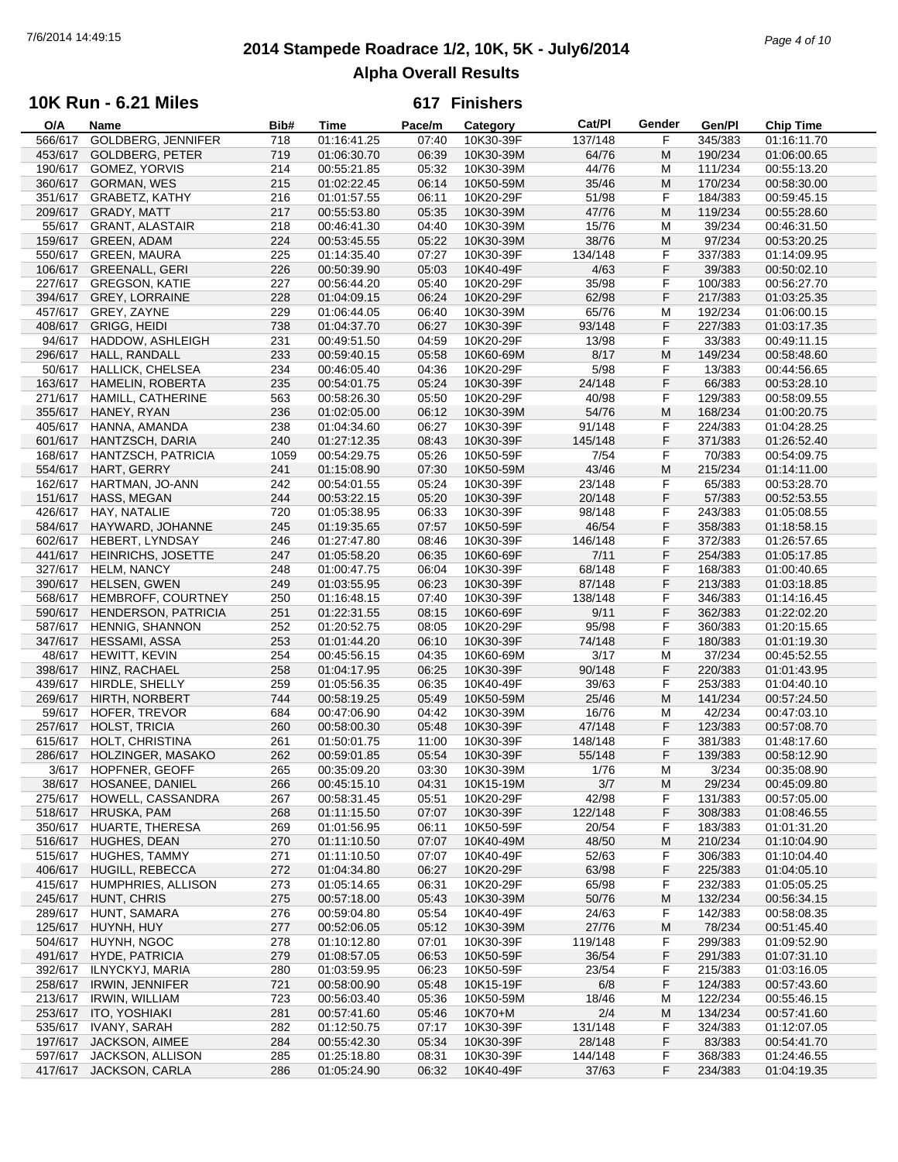## **2014 Stampede Roadrace 1/2, 10K, 5K - July6/2014** 7/6/2014 14:49:15 *Page 4 of 10* **Alpha Overall Results**

#### **10K Run - 6.21 Miles**

| O/A     | Name                       | Bib# | Time        | Pace/m | Category  | Cat/PI  | Gender | Gen/Pl  | <b>Chip Time</b> |
|---------|----------------------------|------|-------------|--------|-----------|---------|--------|---------|------------------|
| 566/617 | <b>GOLDBERG, JENNIFER</b>  | 718  | 01:16:41.25 | 07:40  | 10K30-39F | 137/148 | F      | 345/383 | 01:16:11.70      |
| 453/617 | <b>GOLDBERG, PETER</b>     | 719  | 01:06:30.70 | 06:39  | 10K30-39M | 64/76   | M      | 190/234 | 01:06:00.65      |
| 190/617 | <b>GOMEZ, YORVIS</b>       | 214  | 00:55:21.85 | 05:32  | 10K30-39M | 44/76   | M      | 111/234 | 00:55:13.20      |
| 360/617 | GORMAN, WES                | 215  | 01:02:22.45 | 06:14  | 10K50-59M | 35/46   | M      | 170/234 | 00:58:30.00      |
|         |                            |      |             |        |           |         |        |         |                  |
| 351/617 | <b>GRABETZ, KATHY</b>      | 216  | 01:01:57.55 | 06:11  | 10K20-29F | 51/98   | F      | 184/383 | 00:59:45.15      |
| 209/617 | GRADY, MATT                | 217  | 00:55:53.80 | 05:35  | 10K30-39M | 47/76   | M      | 119/234 | 00:55:28.60      |
| 55/617  | <b>GRANT, ALASTAIR</b>     | 218  | 00:46:41.30 | 04:40  | 10K30-39M | 15/76   | м      | 39/234  | 00:46:31.50      |
| 159/617 | <b>GREEN, ADAM</b>         | 224  | 00:53:45.55 | 05:22  | 10K30-39M | 38/76   | M      | 97/234  | 00:53:20.25      |
| 550/617 | <b>GREEN, MAURA</b>        | 225  | 01:14:35.40 | 07:27  | 10K30-39F | 134/148 | F      | 337/383 | 01:14:09.95      |
| 106/617 | <b>GREENALL, GERI</b>      | 226  | 00:50:39.90 | 05:03  | 10K40-49F | 4/63    | F      | 39/383  | 00:50:02.10      |
| 227/617 | <b>GREGSON, KATIE</b>      | 227  | 00:56:44.20 | 05:40  | 10K20-29F | 35/98   | F      | 100/383 | 00:56:27.70      |
| 394/617 | <b>GREY, LORRAINE</b>      |      |             |        |           | 62/98   | F      |         | 01:03:25.35      |
|         |                            | 228  | 01:04:09.15 | 06:24  | 10K20-29F |         |        | 217/383 |                  |
| 457/617 | GREY, ZAYNE                | 229  | 01:06:44.05 | 06:40  | 10K30-39M | 65/76   | M      | 192/234 | 01:06:00.15      |
| 408/617 | <b>GRIGG, HEIDI</b>        | 738  | 01:04:37.70 | 06:27  | 10K30-39F | 93/148  | F      | 227/383 | 01:03:17.35      |
| 94/617  | HADDOW, ASHLEIGH           | 231  | 00:49:51.50 | 04:59  | 10K20-29F | 13/98   | F      | 33/383  | 00:49:11.15      |
| 296/617 | HALL, RANDALL              | 233  | 00:59:40.15 | 05:58  | 10K60-69M | 8/17    | M      | 149/234 | 00:58:48.60      |
| 50/617  | <b>HALLICK, CHELSEA</b>    | 234  | 00:46:05.40 | 04:36  | 10K20-29F | 5/98    | F      | 13/383  | 00:44:56.65      |
| 163/617 | <b>HAMELIN, ROBERTA</b>    | 235  | 00:54:01.75 | 05:24  | 10K30-39F | 24/148  | F      | 66/383  | 00:53:28.10      |
| 271/617 | HAMILL, CATHERINE          | 563  | 00:58:26.30 | 05:50  | 10K20-29F | 40/98   | F      | 129/383 | 00:58:09.55      |
|         |                            |      |             |        |           |         |        |         |                  |
| 355/617 | HANEY, RYAN                | 236  | 01:02:05.00 | 06:12  | 10K30-39M | 54/76   | M      | 168/234 | 01:00:20.75      |
| 405/617 | HANNA, AMANDA              | 238  | 01:04:34.60 | 06:27  | 10K30-39F | 91/148  | F      | 224/383 | 01:04:28.25      |
| 601/617 | HANTZSCH, DARIA            | 240  | 01:27:12.35 | 08:43  | 10K30-39F | 145/148 | F      | 371/383 | 01:26:52.40      |
| 168/617 | HANTZSCH, PATRICIA         | 1059 | 00:54:29.75 | 05:26  | 10K50-59F | 7/54    | F      | 70/383  | 00:54:09.75      |
| 554/617 | HART, GERRY                | 241  | 01:15:08.90 | 07:30  | 10K50-59M | 43/46   | M      | 215/234 | 01:14:11.00      |
| 162/617 | HARTMAN, JO-ANN            | 242  | 00:54:01.55 | 05:24  | 10K30-39F | 23/148  | F      | 65/383  | 00:53:28.70      |
| 151/617 | HASS, MEGAN                | 244  | 00:53:22.15 | 05:20  | 10K30-39F | 20/148  | F      | 57/383  | 00:52:53.55      |
|         |                            |      |             |        |           |         | F      |         |                  |
| 426/617 | HAY, NATALIE               | 720  | 01:05:38.95 | 06:33  | 10K30-39F | 98/148  |        | 243/383 | 01:05:08.55      |
| 584/617 | HAYWARD, JOHANNE           | 245  | 01:19:35.65 | 07:57  | 10K50-59F | 46/54   | F      | 358/383 | 01:18:58.15      |
| 602/617 | <b>HEBERT, LYNDSAY</b>     | 246  | 01:27:47.80 | 08:46  | 10K30-39F | 146/148 | F      | 372/383 | 01:26:57.65      |
| 441/617 | <b>HEINRICHS, JOSETTE</b>  | 247  | 01:05:58.20 | 06:35  | 10K60-69F | 7/11    | F      | 254/383 | 01:05:17.85      |
| 327/617 | <b>HELM, NANCY</b>         | 248  | 01:00:47.75 | 06:04  | 10K30-39F | 68/148  | F      | 168/383 | 01:00:40.65      |
| 390/617 | HELSEN, GWEN               | 249  | 01:03:55.95 | 06:23  | 10K30-39F | 87/148  | F      | 213/383 | 01:03:18.85      |
| 568/617 | HEMBROFF, COURTNEY         | 250  | 01:16:48.15 | 07:40  | 10K30-39F | 138/148 | F      | 346/383 | 01:14:16.45      |
|         |                            |      |             |        |           | 9/11    | F      |         |                  |
| 590/617 | <b>HENDERSON, PATRICIA</b> | 251  | 01:22:31.55 | 08:15  | 10K60-69F |         |        | 362/383 | 01:22:02.20      |
| 587/617 | <b>HENNIG, SHANNON</b>     | 252  | 01:20:52.75 | 08:05  | 10K20-29F | 95/98   | F      | 360/383 | 01:20:15.65      |
| 347/617 | <b>HESSAMI, ASSA</b>       | 253  | 01:01:44.20 | 06:10  | 10K30-39F | 74/148  | F      | 180/383 | 01:01:19.30      |
| 48/617  | HEWITT, KEVIN              | 254  | 00:45:56.15 | 04:35  | 10K60-69M | 3/17    | M      | 37/234  | 00:45:52.55      |
| 398/617 | HINZ, RACHAEL              | 258  | 01:04:17.95 | 06:25  | 10K30-39F | 90/148  | F      | 220/383 | 01:01:43.95      |
| 439/617 | HIRDLE, SHELLY             | 259  | 01:05:56.35 | 06:35  | 10K40-49F | 39/63   | F      | 253/383 | 01:04:40.10      |
| 269/617 | HIRTH, NORBERT             | 744  | 00:58:19.25 | 05:49  | 10K50-59M | 25/46   | M      | 141/234 | 00:57:24.50      |
| 59/617  | HOFER, TREVOR              | 684  | 00:47:06.90 | 04:42  | 10K30-39M | 16/76   | M      | 42/234  | 00:47:03.10      |
| 257/617 | HOLST, TRICIA              | 260  | 00:58:00.30 | 05:48  | 10K30-39F | 47/148  | F      | 123/383 | 00:57:08.70      |
|         |                            |      |             |        |           | 148/148 |        |         |                  |
| 615/617 | HOLT, CHRISTINA            | 261  | 01:50:01.75 | 11:00  | 10K30-39F |         | F      | 381/383 | 01:48:17.60      |
| 286/617 | HOLZINGER, MASAKO          | 262  | 00:59:01.85 | 05:54  | 10K30-39F | 55/148  | F      | 139/383 | 00:58:12.90      |
|         | 3/617 HOPFNER, GEOFF       | 265  | 00:35:09.20 | 03:30  | 10K30-39M | 1/76    | M      | 3/234   | 00:35:08.90      |
|         | 38/617 HOSANEE, DANIEL     | 266  | 00:45:15.10 | 04:31  | 10K15-19M | 3/7     | M      | 29/234  | 00:45:09.80      |
| 275/617 | HOWELL, CASSANDRA          | 267  | 00:58:31.45 | 05:51  | 10K20-29F | 42/98   | F      | 131/383 | 00:57:05.00      |
| 518/617 | HRUSKA, PAM                | 268  | 01:11:15.50 | 07:07  | 10K30-39F | 122/148 | F      | 308/383 | 01:08:46.55      |
| 350/617 | <b>HUARTE, THERESA</b>     | 269  | 01:01:56.95 | 06:11  | 10K50-59F | 20/54   | F.     | 183/383 | 01:01:31.20      |
| 516/617 | HUGHES, DEAN               | 270  | 01:11:10.50 | 07:07  | 10K40-49M | 48/50   | M      | 210/234 | 01:10:04.90      |
|         |                            |      |             |        |           |         |        | 306/383 |                  |
| 515/617 | <b>HUGHES, TAMMY</b>       | 271  | 01:11:10.50 | 07:07  | 10K40-49F | 52/63   | F      |         | 01:10:04.40      |
| 406/617 | HUGILL, REBECCA            | 272  | 01:04:34.80 | 06:27  | 10K20-29F | 63/98   | F      | 225/383 | 01:04:05.10      |
| 415/617 | HUMPHRIES, ALLISON         | 273  | 01:05:14.65 | 06:31  | 10K20-29F | 65/98   | F      | 232/383 | 01:05:05.25      |
| 245/617 | HUNT, CHRIS                | 275  | 00:57:18.00 | 05:43  | 10K30-39M | 50/76   | M      | 132/234 | 00:56:34.15      |
| 289/617 | HUNT, SAMARA               | 276  | 00:59:04.80 | 05:54  | 10K40-49F | 24/63   | F      | 142/383 | 00:58:08.35      |
| 125/617 | HUYNH, HUY                 | 277  | 00:52:06.05 | 05:12  | 10K30-39M | 27/76   | M      | 78/234  | 00:51:45.40      |
| 504/617 | HUYNH, NGOC                | 278  | 01:10:12.80 | 07:01  | 10K30-39F | 119/148 | F      | 299/383 | 01:09:52.90      |
| 491/617 | <b>HYDE, PATRICIA</b>      | 279  | 01:08:57.05 | 06:53  | 10K50-59F | 36/54   | F      | 291/383 | 01:07:31.10      |
|         |                            |      |             |        |           |         |        |         |                  |
| 392/617 | ILNYCKYJ, MARIA            | 280  | 01:03:59.95 | 06:23  | 10K50-59F | 23/54   | F      | 215/383 | 01:03:16.05      |
| 258/617 | <b>IRWIN, JENNIFER</b>     | 721  | 00:58:00.90 | 05:48  | 10K15-19F | 6/8     | F      | 124/383 | 00:57:43.60      |
| 213/617 | <b>IRWIN, WILLIAM</b>      | 723  | 00:56:03.40 | 05:36  | 10K50-59M | 18/46   | м      | 122/234 | 00:55:46.15      |
| 253/617 | ITO, YOSHIAKI              | 281  | 00:57:41.60 | 05:46  | 10K70+M   | 2/4     | M      | 134/234 | 00:57:41.60      |
| 535/617 | IVANY, SARAH               | 282  | 01:12:50.75 | 07:17  | 10K30-39F | 131/148 | F      | 324/383 | 01:12:07.05      |
| 197/617 | <b>JACKSON, AIMEE</b>      | 284  | 00:55:42.30 | 05:34  | 10K30-39F | 28/148  | F      | 83/383  | 00:54:41.70      |
| 597/617 | JACKSON, ALLISON           | 285  | 01:25:18.80 | 08:31  | 10K30-39F | 144/148 | F      | 368/383 | 01:24:46.55      |
|         | 417/617 JACKSON, CARLA     | 286  | 01:05:24.90 | 06:32  | 10K40-49F | 37/63   | F      | 234/383 | 01:04:19.35      |
|         |                            |      |             |        |           |         |        |         |                  |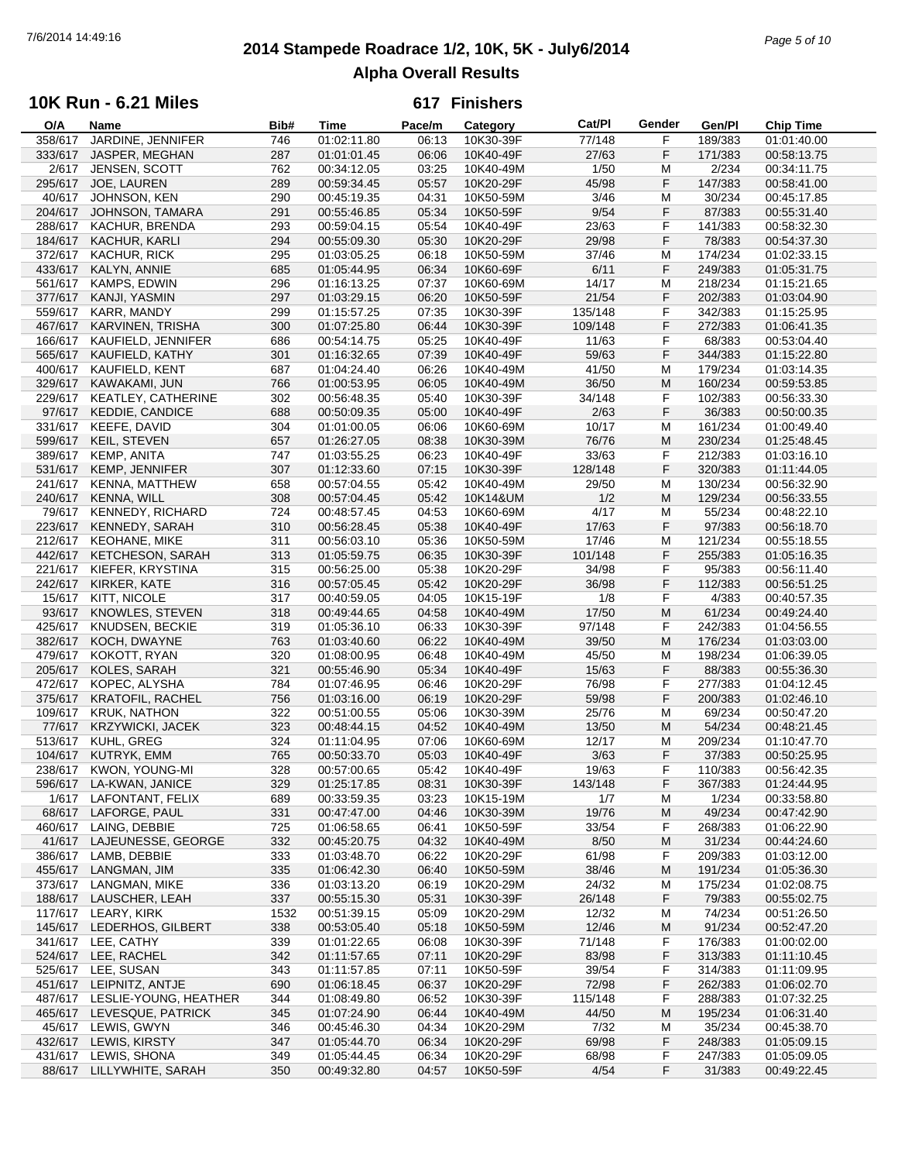## **2014 Stampede Roadrace 1/2, 10K, 5K - July6/2014** 7/6/2014 14:49:16 *Page 5 of 10* **Alpha Overall Results**

### **10K Run - 6.21 Miles**

| O/A     | Name                          | Bib# | Time        | Pace/m | Category  | Cat/PI  | Gender | Gen/Pl  | Chip Time   |
|---------|-------------------------------|------|-------------|--------|-----------|---------|--------|---------|-------------|
| 358/617 | JARDINE, JENNIFER             | 746  | 01:02:11.80 | 06:13  | 10K30-39F | 77/148  | F      | 189/383 | 01:01:40.00 |
| 333/617 | JASPER, MEGHAN                | 287  | 01:01:01.45 | 06:06  | 10K40-49F | 27/63   | F      | 171/383 | 00:58:13.75 |
| 2/617   | JENSEN, SCOTT                 | 762  | 00:34:12.05 | 03:25  | 10K40-49M | 1/50    | M      | 2/234   | 00:34:11.75 |
| 295/617 | JOE, LAUREN                   | 289  | 00:59:34.45 | 05:57  | 10K20-29F | 45/98   | F      | 147/383 | 00:58:41.00 |
|         |                               |      |             |        |           |         |        |         |             |
| 40/617  | JOHNSON, KEN                  | 290  | 00:45:19.35 | 04:31  | 10K50-59M | 3/46    | M      | 30/234  | 00:45:17.85 |
| 204/617 | JOHNSON, TAMARA               | 291  | 00:55:46.85 | 05:34  | 10K50-59F | 9/54    | F      | 87/383  | 00:55:31.40 |
| 288/617 | KACHUR, BRENDA                | 293  | 00:59:04.15 | 05:54  | 10K40-49F | 23/63   | F      | 141/383 | 00:58:32.30 |
| 184/617 | KACHUR, KARLI                 | 294  | 00:55:09.30 | 05:30  | 10K20-29F | 29/98   | F      | 78/383  | 00:54:37.30 |
| 372/617 | <b>KACHUR, RICK</b>           | 295  | 01:03:05.25 | 06:18  | 10K50-59M | 37/46   | M      | 174/234 | 01:02:33.15 |
| 433/617 | KALYN, ANNIE                  | 685  | 01:05:44.95 | 06:34  | 10K60-69F | 6/11    | F      | 249/383 | 01:05:31.75 |
|         |                               |      |             |        |           |         |        |         |             |
| 561/617 | KAMPS, EDWIN                  | 296  | 01:16:13.25 | 07:37  | 10K60-69M | 14/17   | M      | 218/234 | 01:15:21.65 |
| 377/617 | KANJI, YASMIN                 | 297  | 01:03:29.15 | 06:20  | 10K50-59F | 21/54   | F      | 202/383 | 01:03:04.90 |
| 559/617 | KARR, MANDY                   | 299  | 01:15:57.25 | 07:35  | 10K30-39F | 135/148 | F      | 342/383 | 01:15:25.95 |
| 467/617 | KARVINEN, TRISHA              | 300  | 01:07:25.80 | 06:44  | 10K30-39F | 109/148 | F      | 272/383 | 01:06:41.35 |
| 166/617 | KAUFIELD, JENNIFER            | 686  | 00:54:14.75 | 05:25  | 10K40-49F | 11/63   | F      | 68/383  | 00:53:04.40 |
| 565/617 | KAUFIELD, KATHY               | 301  | 01:16:32.65 | 07:39  | 10K40-49F | 59/63   | F      | 344/383 | 01:15:22.80 |
| 400/617 | KAUFIELD, KENT                | 687  | 01:04:24.40 | 06:26  | 10K40-49M | 41/50   | М      | 179/234 | 01:03:14.35 |
|         |                               |      |             |        |           |         |        |         |             |
| 329/617 | KAWAKAMI, JUN                 | 766  | 01:00:53.95 | 06:05  | 10K40-49M | 36/50   | M      | 160/234 | 00:59:53.85 |
| 229/617 | <b>KEATLEY, CATHERINE</b>     | 302  | 00:56:48.35 | 05:40  | 10K30-39F | 34/148  | F      | 102/383 | 00:56:33.30 |
| 97/617  | <b>KEDDIE, CANDICE</b>        | 688  | 00:50:09.35 | 05:00  | 10K40-49F | 2/63    | F      | 36/383  | 00:50:00.35 |
| 331/617 | KEEFE, DAVID                  | 304  | 01:01:00.05 | 06:06  | 10K60-69M | 10/17   | M      | 161/234 | 01:00:49.40 |
| 599/617 | <b>KEIL, STEVEN</b>           | 657  | 01:26:27.05 | 08:38  | 10K30-39M | 76/76   | M      | 230/234 | 01:25:48.45 |
| 389/617 | <b>KEMP, ANITA</b>            | 747  | 01:03:55.25 | 06:23  | 10K40-49F | 33/63   | F      | 212/383 | 01:03:16.10 |
|         |                               |      |             |        |           |         |        |         |             |
| 531/617 | KEMP, JENNIFER                | 307  | 01:12:33.60 | 07:15  | 10K30-39F | 128/148 | F      | 320/383 | 01:11:44.05 |
| 241/617 | <b>KENNA, MATTHEW</b>         | 658  | 00:57:04.55 | 05:42  | 10K40-49M | 29/50   | M      | 130/234 | 00:56:32.90 |
| 240/617 | KENNA, WILL                   | 308  | 00:57:04.45 | 05:42  | 10K14&UM  | 1/2     | M      | 129/234 | 00:56:33.55 |
| 79/617  | <b>KENNEDY, RICHARD</b>       | 724  | 00:48:57.45 | 04:53  | 10K60-69M | 4/17    | м      | 55/234  | 00:48:22.10 |
| 223/617 | KENNEDY, SARAH                | 310  | 00:56:28.45 | 05:38  | 10K40-49F | 17/63   | F      | 97/383  | 00:56:18.70 |
| 212/617 | <b>KEOHANE, MIKE</b>          | 311  | 00:56:03.10 | 05:36  | 10K50-59M | 17/46   | M      | 121/234 | 00:55:18.55 |
|         |                               |      |             |        |           | 101/148 | F      |         |             |
| 442/617 | KETCHESON, SARAH              | 313  | 01:05:59.75 | 06:35  | 10K30-39F |         |        | 255/383 | 01:05:16.35 |
| 221/617 | KIEFER, KRYSTINA              | 315  | 00:56:25.00 | 05:38  | 10K20-29F | 34/98   | F      | 95/383  | 00:56:11.40 |
| 242/617 | KIRKER, KATE                  | 316  | 00:57:05.45 | 05:42  | 10K20-29F | 36/98   | F      | 112/383 | 00:56:51.25 |
| 15/617  | KITT, NICOLE                  | 317  | 00:40:59.05 | 04:05  | 10K15-19F | 1/8     | F      | 4/383   | 00:40:57.35 |
| 93/617  | KNOWLES, STEVEN               | 318  | 00:49:44.65 | 04:58  | 10K40-49M | 17/50   | M      | 61/234  | 00:49:24.40 |
| 425/617 | KNUDSEN, BECKIE               | 319  | 01:05:36.10 | 06:33  | 10K30-39F | 97/148  | F      | 242/383 | 01:04:56.55 |
| 382/617 | KOCH, DWAYNE                  | 763  | 01:03:40.60 | 06:22  | 10K40-49M | 39/50   | M      | 176/234 | 01:03:03.00 |
|         |                               |      |             |        |           |         |        |         |             |
| 479/617 | KOKOTT, RYAN                  | 320  | 01:08:00.95 | 06:48  | 10K40-49M | 45/50   | M      | 198/234 | 01:06:39.05 |
| 205/617 | KOLES, SARAH                  | 321  | 00:55:46.90 | 05:34  | 10K40-49F | 15/63   | F      | 88/383  | 00:55:36.30 |
| 472/617 | KOPEC, ALYSHA                 | 784  | 01:07:46.95 | 06:46  | 10K20-29F | 76/98   | F      | 277/383 | 01:04:12.45 |
| 375/617 | <b>KRATOFIL, RACHEL</b>       | 756  | 01:03:16.00 | 06:19  | 10K20-29F | 59/98   | F      | 200/383 | 01:02:46.10 |
| 109/617 | <b>KRUK, NATHON</b>           | 322  | 00:51:00.55 | 05:06  | 10K30-39M | 25/76   | M      | 69/234  | 00:50:47.20 |
| 77/617  | <b>KRZYWICKI, JACEK</b>       | 323  | 00:48:44.15 | 04:52  | 10K40-49M | 13/50   | M      | 54/234  | 00:48:21.45 |
|         |                               |      |             |        |           |         |        |         |             |
| 513/617 | KUHL, GREG                    | 324  | 01:11:04.95 | 07:06  | 10K60-69M | 12/17   | M      | 209/234 | 01:10:47.70 |
| 104/617 | <b>KUTRYK, EMM</b>            | 765  | 00:50:33.70 | 05:03  | 10K40-49F | 3/63    | F      | 37/383  | 00:50:25.95 |
| 238/617 | KWON, YOUNG-MI                | 328  | 00:57:00.65 | 05:42  | 10K40-49F | 19/63   | F      | 110/383 | 00:56:42.35 |
|         | 596/617 LA-KWAN, JANICE       | 329  | 01:25:17.85 | 08:31  | 10K30-39F | 143/148 | F      | 367/383 | 01:24:44.95 |
| 1/617   | LAFONTANT, FELIX              | 689  | 00:33:59.35 | 03:23  | 10K15-19M | 1/7     | M      | 1/234   | 00:33:58.80 |
| 68/617  | LAFORGE, PAUL                 | 331  | 00:47:47.00 | 04:46  | 10K30-39M | 19/76   | M      | 49/234  | 00:47:42.90 |
| 460/617 | LAING, DEBBIE                 | 725  | 01:06:58.65 | 06:41  | 10K50-59F | 33/54   | F      | 268/383 | 01:06:22.90 |
|         |                               |      |             |        |           |         |        |         |             |
| 41/617  | LAJEUNESSE, GEORGE            | 332  | 00:45:20.75 | 04:32  | 10K40-49M | 8/50    | M      | 31/234  | 00:44:24.60 |
| 386/617 | LAMB, DEBBIE                  | 333  | 01:03:48.70 | 06:22  | 10K20-29F | 61/98   | F      | 209/383 | 01:03:12.00 |
| 455/617 | LANGMAN, JIM                  | 335  | 01:06:42.30 | 06:40  | 10K50-59M | 38/46   | M      | 191/234 | 01:05:36.30 |
| 373/617 | LANGMAN, MIKE                 | 336  | 01:03:13.20 | 06:19  | 10K20-29M | 24/32   | м      | 175/234 | 01:02:08.75 |
|         | 188/617 LAUSCHER, LEAH        | 337  | 00:55:15.30 | 05:31  | 10K30-39F | 26/148  | F      | 79/383  | 00:55:02.75 |
| 117/617 | LEARY, KIRK                   | 1532 | 00:51:39.15 | 05:09  | 10K20-29M | 12/32   | M      | 74/234  | 00:51:26.50 |
|         |                               |      |             |        |           |         |        |         |             |
| 145/617 | LEDERHOS, GILBERT             | 338  | 00:53:05.40 | 05:18  | 10K50-59M | 12/46   | M      | 91/234  | 00:52:47.20 |
| 341/617 | LEE, CATHY                    | 339  | 01:01:22.65 | 06:08  | 10K30-39F | 71/148  | F      | 176/383 | 01:00:02.00 |
| 524/617 | LEE, RACHEL                   | 342  | 01:11:57.65 | 07:11  | 10K20-29F | 83/98   | F      | 313/383 | 01:11:10.45 |
| 525/617 | LEE, SUSAN                    | 343  | 01:11:57.85 | 07:11  | 10K50-59F | 39/54   | F      | 314/383 | 01:11:09.95 |
| 451/617 | LEIPNITZ, ANTJE               | 690  | 01:06:18.45 | 06:37  | 10K20-29F | 72/98   | F      | 262/383 | 01:06:02.70 |
|         | 487/617 LESLIE-YOUNG, HEATHER | 344  | 01:08:49.80 | 06:52  | 10K30-39F | 115/148 | F      | 288/383 | 01:07:32.25 |
|         | 465/617 LEVESQUE, PATRICK     |      | 01:07:24.90 | 06:44  | 10K40-49M | 44/50   | M      | 195/234 | 01:06:31.40 |
|         |                               | 345  |             |        |           |         |        |         |             |
| 45/617  | LEWIS, GWYN                   | 346  | 00:45:46.30 | 04:34  | 10K20-29M | 7/32    | M      | 35/234  | 00:45:38.70 |
| 432/617 | LEWIS, KIRSTY                 | 347  | 01:05:44.70 | 06:34  | 10K20-29F | 69/98   | F      | 248/383 | 01:05:09.15 |
|         | 431/617 LEWIS, SHONA          | 349  | 01:05:44.45 | 06:34  | 10K20-29F | 68/98   | F      | 247/383 | 01:05:09.05 |
|         | 88/617 LILLYWHITE, SARAH      | 350  | 00:49:32.80 | 04:57  | 10K50-59F | 4/54    | F      | 31/383  | 00:49:22.45 |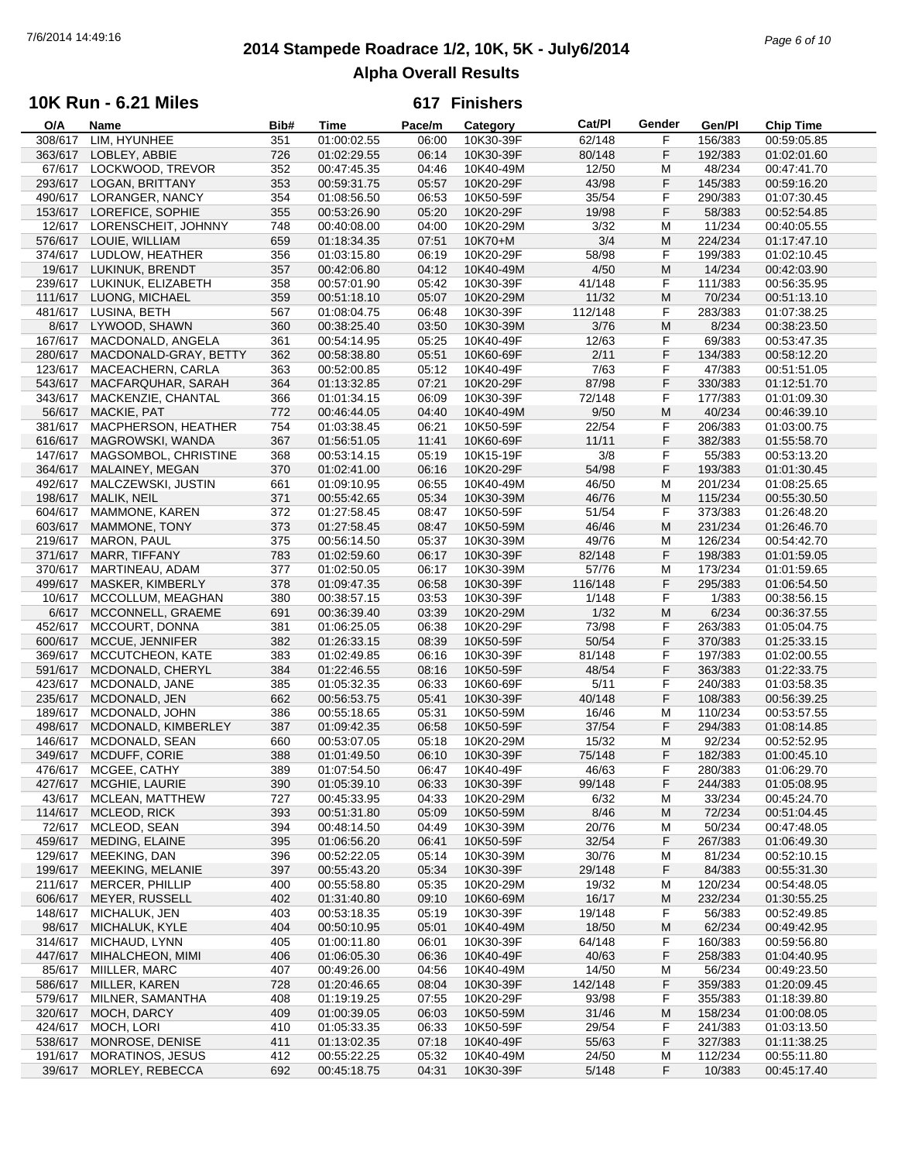## **2014 Stampede Roadrace 1/2, 10K, 5K - July6/2014** 7/6/2014 14:49:16 *Page 6 of 10* **Alpha Overall Results**

## **10K Run - 6.21 Miles**

| O/A     | Name                    | Bib# | Time        | Pace/m | Category  | Cat/PI  | Gender | Gen/Pl  | <b>Chip Time</b> |
|---------|-------------------------|------|-------------|--------|-----------|---------|--------|---------|------------------|
| 308/617 | LIM, HYUNHEE            | 351  | 01:00:02.55 | 06:00  | 10K30-39F | 62/148  | F      | 156/383 | 00:59:05.85      |
| 363/617 | LOBLEY, ABBIE           | 726  | 01:02:29.55 | 06:14  | 10K30-39F | 80/148  | F      | 192/383 | 01:02:01.60      |
| 67/617  | LOCKWOOD, TREVOR        | 352  | 00:47:45.35 | 04:46  | 10K40-49M | 12/50   | M      | 48/234  | 00:47:41.70      |
| 293/617 | LOGAN, BRITTANY         | 353  | 00:59:31.75 | 05:57  | 10K20-29F | 43/98   | F      | 145/383 | 00:59:16.20      |
| 490/617 | LORANGER, NANCY         | 354  | 01:08:56.50 | 06:53  | 10K50-59F | 35/54   | F      | 290/383 | 01:07:30.45      |
| 153/617 | LOREFICE, SOPHIE        | 355  | 00:53:26.90 | 05:20  | 10K20-29F | 19/98   | F      | 58/383  | 00:52:54.85      |
|         |                         |      |             |        |           |         |        |         |                  |
| 12/617  | LORENSCHEIT, JOHNNY     | 748  | 00:40:08.00 | 04:00  | 10K20-29M | 3/32    | M      | 11/234  | 00:40:05.55      |
| 576/617 | LOUIE, WILLIAM          | 659  | 01:18:34.35 | 07:51  | 10K70+M   | 3/4     | M      | 224/234 | 01:17:47.10      |
| 374/617 | LUDLOW, HEATHER         | 356  | 01:03:15.80 | 06:19  | 10K20-29F | 58/98   | F      | 199/383 | 01:02:10.45      |
| 19/617  | LUKINUK, BRENDT         | 357  | 00:42:06.80 | 04:12  | 10K40-49M | 4/50    | M      | 14/234  | 00:42:03.90      |
| 239/617 | LUKINUK, ELIZABETH      | 358  | 00:57:01.90 | 05:42  | 10K30-39F | 41/148  | F      | 111/383 | 00:56:35.95      |
| 111/617 | LUONG, MICHAEL          | 359  | 00:51:18.10 | 05:07  | 10K20-29M | 11/32   | M      | 70/234  | 00:51:13.10      |
| 481/617 | LUSINA, BETH            | 567  | 01:08:04.75 | 06:48  | 10K30-39F | 112/148 | F      | 283/383 | 01:07:38.25      |
| 8/617   | LYWOOD, SHAWN           | 360  | 00:38:25.40 | 03:50  | 10K30-39M | 3/76    | M      | 8/234   | 00:38:23.50      |
| 167/617 | MACDONALD, ANGELA       | 361  | 00:54:14.95 | 05:25  | 10K40-49F | 12/63   | F      | 69/383  | 00:53:47.35      |
| 280/617 | MACDONALD-GRAY, BETTY   | 362  | 00:58:38.80 | 05:51  | 10K60-69F | 2/11    | F      | 134/383 | 00:58:12.20      |
|         |                         |      |             |        |           |         |        |         |                  |
| 123/617 | MACEACHERN, CARLA       | 363  | 00:52:00.85 | 05:12  | 10K40-49F | 7/63    | F      | 47/383  | 00:51:51.05      |
| 543/617 | MACFARQUHAR, SARAH      | 364  | 01:13:32.85 | 07:21  | 10K20-29F | 87/98   | F      | 330/383 | 01:12:51.70      |
| 343/617 | MACKENZIE, CHANTAL      | 366  | 01:01:34.15 | 06:09  | 10K30-39F | 72/148  | F      | 177/383 | 01:01:09.30      |
| 56/617  | MACKIE, PAT             | 772  | 00:46:44.05 | 04:40  | 10K40-49M | 9/50    | M      | 40/234  | 00:46:39.10      |
| 381/617 | MACPHERSON, HEATHER     | 754  | 01:03:38.45 | 06:21  | 10K50-59F | 22/54   | F      | 206/383 | 01:03:00.75      |
| 616/617 | MAGROWSKI, WANDA        | 367  | 01:56:51.05 | 11:41  | 10K60-69F | 11/11   | F      | 382/383 | 01:55:58.70      |
| 147/617 | MAGSOMBOL, CHRISTINE    | 368  | 00:53:14.15 | 05:19  | 10K15-19F | 3/8     | F      | 55/383  | 00:53:13.20      |
| 364/617 | MALAINEY, MEGAN         | 370  | 01:02:41.00 | 06:16  | 10K20-29F | 54/98   | F      | 193/383 | 01:01:30.45      |
| 492/617 | MALCZEWSKI, JUSTIN      | 661  | 01:09:10.95 | 06:55  | 10K40-49M | 46/50   | М      | 201/234 | 01:08:25.65      |
| 198/617 | MALIK, NEIL             | 371  | 00:55:42.65 | 05:34  | 10K30-39M | 46/76   | M      | 115/234 | 00:55:30.50      |
| 604/617 | MAMMONE, KAREN          | 372  | 01:27:58.45 | 08:47  | 10K50-59F | 51/54   | F      | 373/383 | 01:26:48.20      |
|         |                         |      |             |        |           |         |        |         |                  |
| 603/617 | MAMMONE, TONY           | 373  | 01:27:58.45 | 08:47  | 10K50-59M | 46/46   | M      | 231/234 | 01:26:46.70      |
| 219/617 | <b>MARON, PAUL</b>      | 375  | 00:56:14.50 | 05:37  | 10K30-39M | 49/76   | М      | 126/234 | 00:54:42.70      |
| 371/617 | MARR, TIFFANY           | 783  | 01:02:59.60 | 06:17  | 10K30-39F | 82/148  | F      | 198/383 | 01:01:59.05      |
| 370/617 | MARTINEAU, ADAM         | 377  | 01:02:50.05 | 06:17  | 10K30-39M | 57/76   | M      | 173/234 | 01:01:59.65      |
| 499/617 | MASKER, KIMBERLY        | 378  | 01:09:47.35 | 06:58  | 10K30-39F | 116/148 | F      | 295/383 | 01:06:54.50      |
| 10/617  | MCCOLLUM, MEAGHAN       | 380  | 00:38:57.15 | 03:53  | 10K30-39F | 1/148   | F      | 1/383   | 00:38:56.15      |
| 6/617   | MCCONNELL, GRAEME       | 691  | 00:36:39.40 | 03:39  | 10K20-29M | 1/32    | M      | 6/234   | 00:36:37.55      |
| 452/617 | MCCOURT, DONNA          | 381  | 01:06:25.05 | 06:38  | 10K20-29F | 73/98   | F      | 263/383 | 01:05:04.75      |
| 600/617 | MCCUE, JENNIFER         | 382  | 01:26:33.15 | 08:39  | 10K50-59F | 50/54   | F      | 370/383 | 01:25:33.15      |
| 369/617 | MCCUTCHEON, KATE        | 383  | 01:02:49.85 | 06:16  | 10K30-39F | 81/148  | F      | 197/383 | 01:02:00.55      |
| 591/617 | MCDONALD, CHERYL        | 384  | 01:22:46.55 | 08:16  | 10K50-59F | 48/54   | F      | 363/383 | 01:22:33.75      |
| 423/617 | MCDONALD, JANE          | 385  | 01:05:32.35 | 06:33  | 10K60-69F | 5/11    | F      | 240/383 | 01:03:58.35      |
| 235/617 | MCDONALD, JEN           | 662  | 00:56:53.75 | 05:41  | 10K30-39F | 40/148  | F      | 108/383 | 00:56:39.25      |
|         |                         |      |             |        |           |         |        |         |                  |
| 189/617 | MCDONALD, JOHN          | 386  | 00:55:18.65 | 05:31  | 10K50-59M | 16/46   | М      | 110/234 | 00:53:57.55      |
| 498/617 | MCDONALD, KIMBERLEY     | 387  | 01:09:42.35 | 06:58  | 10K50-59F | 37/54   | F      | 294/383 | 01:08:14.85      |
| 146/617 | MCDONALD, SEAN          | 660  | 00:53:07.05 | 05:18  | 10K20-29M | 15/32   | М      | 92/234  | 00:52:52.95      |
| 349/617 | MCDUFF, CORIE           | 388  | 01:01:49.50 | 06:10  | 10K30-39F | 75/148  | F      | 182/383 | 01:00:45.10      |
| 476/617 | MCGEE, CATHY            | 389  | 01:07:54.50 | 06:47  | 10K40-49F | 46/63   | F      | 280/383 | 01:06:29.70      |
| 427/617 | MCGHIE, LAURIE          | 390  | 01:05:39.10 | 06:33  | 10K30-39F | 99/148  | F      | 244/383 | 01:05:08.95      |
| 43/617  | <b>MCLEAN, MATTHEW</b>  | 727  | 00:45:33.95 | 04:33  | 10K20-29M | 6/32    | M      | 33/234  | 00:45:24.70      |
| 114/617 | MCLEOD, RICK            | 393  | 00:51:31.80 | 05:09  | 10K50-59M | 8/46    | M      | 72/234  | 00:51:04.45      |
| 72/617  | MCLEOD, SEAN            | 394  | 00:48:14.50 | 04:49  | 10K30-39M | 20/76   | M      | 50/234  | 00:47:48.05      |
| 459/617 | MEDING, ELAINE          | 395  | 01:06:56.20 | 06:41  | 10K50-59F | 32/54   | F      | 267/383 | 01:06:49.30      |
| 129/617 | MEEKING, DAN            | 396  | 00:52:22.05 | 05:14  | 10K30-39M | 30/76   | M      | 81/234  | 00:52:10.15      |
| 199/617 | MEEKING, MELANIE        | 397  | 00:55:43.20 | 05:34  | 10K30-39F | 29/148  | F      | 84/383  | 00:55:31.30      |
| 211/617 | MERCER, PHILLIP         |      | 00:55:58.80 | 05:35  |           | 19/32   |        | 120/234 | 00:54:48.05      |
|         |                         | 400  |             |        | 10K20-29M |         | M      |         |                  |
| 606/617 | MEYER, RUSSELL          | 402  | 01:31:40.80 | 09:10  | 10K60-69M | 16/17   | M      | 232/234 | 01:30:55.25      |
| 148/617 | MICHALUK, JEN           | 403  | 00:53:18.35 | 05:19  | 10K30-39F | 19/148  | F      | 56/383  | 00:52:49.85      |
| 98/617  | MICHALUK, KYLE          | 404  | 00:50:10.95 | 05:01  | 10K40-49M | 18/50   | M      | 62/234  | 00:49:42.95      |
| 314/617 | MICHAUD, LYNN           | 405  | 01:00:11.80 | 06:01  | 10K30-39F | 64/148  | F      | 160/383 | 00:59:56.80      |
| 447/617 | MIHALCHEON, MIMI        | 406  | 01:06:05.30 | 06:36  | 10K40-49F | 40/63   | F      | 258/383 | 01:04:40.95      |
| 85/617  | MIILLER, MARC           | 407  | 00:49:26.00 | 04:56  | 10K40-49M | 14/50   | M      | 56/234  | 00:49:23.50      |
| 586/617 | MILLER, KAREN           | 728  | 01:20:46.65 | 08:04  | 10K30-39F | 142/148 | F      | 359/383 | 01:20:09.45      |
| 579/617 | MILNER, SAMANTHA        | 408  | 01:19:19.25 | 07:55  | 10K20-29F | 93/98   | F      | 355/383 | 01:18:39.80      |
| 320/617 | MOCH, DARCY             | 409  | 01:00:39.05 | 06:03  | 10K50-59M | 31/46   | M      | 158/234 | 01:00:08.05      |
| 424/617 | MOCH, LORI              | 410  | 01:05:33.35 | 06:33  | 10K50-59F | 29/54   | F      | 241/383 | 01:03:13.50      |
| 538/617 | MONROSE, DENISE         | 411  | 01:13:02.35 | 07:18  | 10K40-49F | 55/63   | F      | 327/383 | 01:11:38.25      |
| 191/617 | <b>MORATINOS, JESUS</b> | 412  | 00:55:22.25 | 05:32  | 10K40-49M | 24/50   | M      | 112/234 | 00:55:11.80      |
| 39/617  | MORLEY, REBECCA         | 692  | 00:45:18.75 | 04:31  | 10K30-39F | 5/148   | F      | 10/383  | 00:45:17.40      |
|         |                         |      |             |        |           |         |        |         |                  |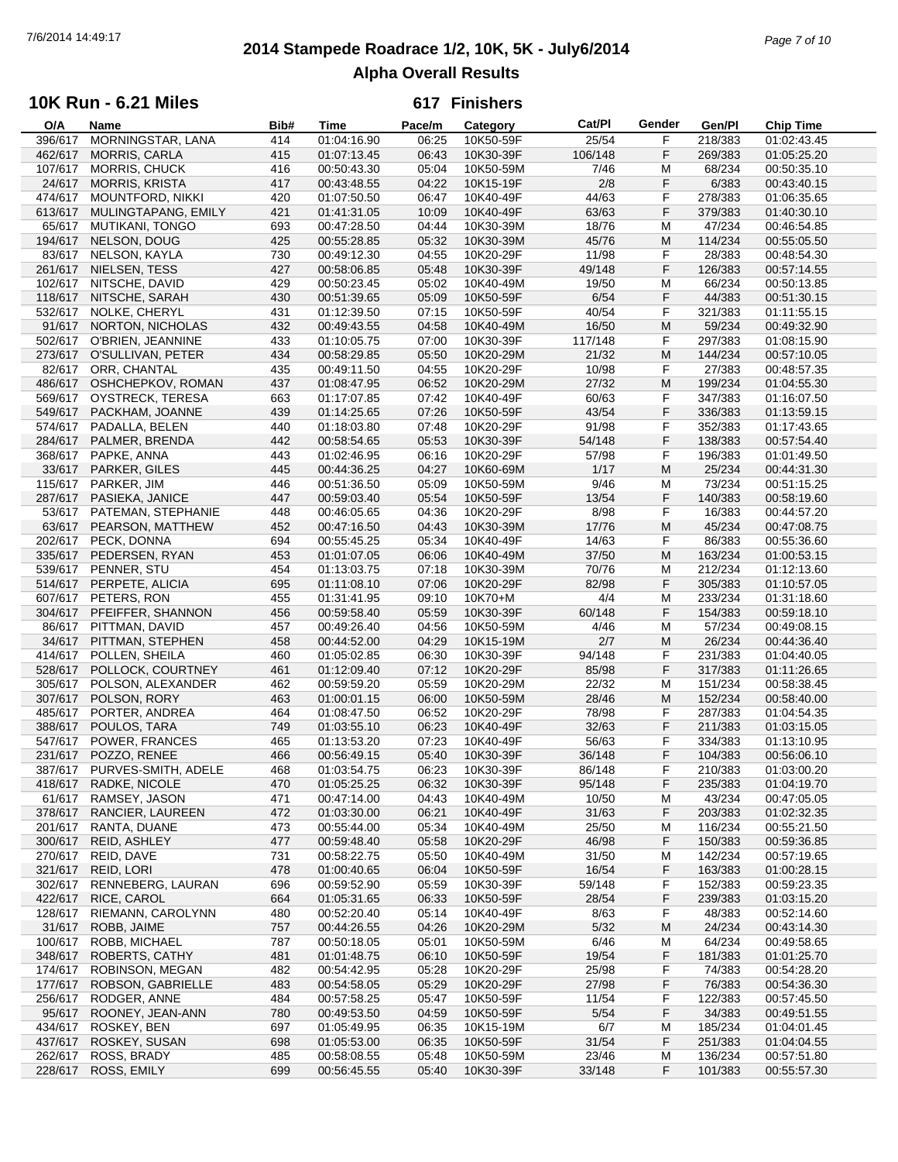## **2014 Stampede Roadrace 1/2, 10K, 5K - July6/2014** 7/6/2014 14:49:17 *Page 7 of 10* **Alpha Overall Results**

#### **10K Run - 6.21 Miles**

| O/A     | Name                        | Bib# | Time        | Pace/m | Category  | Cat/PI  | Gender | Gen/Pl  | <b>Chip Time</b> |
|---------|-----------------------------|------|-------------|--------|-----------|---------|--------|---------|------------------|
| 396/617 | MORNINGSTAR, LANA           | 414  | 01:04:16.90 | 06:25  | 10K50-59F | 25/54   | F      | 218/383 | 01:02:43.45      |
| 462/617 | <b>MORRIS, CARLA</b>        | 415  | 01:07:13.45 | 06:43  | 10K30-39F | 106/148 | F      | 269/383 | 01:05:25.20      |
| 107/617 | <b>MORRIS, CHUCK</b>        | 416  | 00:50:43.30 | 05:04  | 10K50-59M | 7/46    | M      | 68/234  | 00:50:35.10      |
| 24/617  | <b>MORRIS, KRISTA</b>       | 417  | 00:43:48.55 | 04:22  | 10K15-19F | 2/8     | F      | 6/383   | 00:43:40.15      |
| 474/617 | <b>MOUNTFORD, NIKKI</b>     | 420  | 01:07:50.50 | 06:47  | 10K40-49F | 44/63   | F      | 278/383 | 01:06:35.65      |
|         |                             |      |             |        |           |         |        |         |                  |
| 613/617 | MULINGTAPANG, EMILY         | 421  | 01:41:31.05 | 10:09  | 10K40-49F | 63/63   | F      | 379/383 | 01:40:30.10      |
| 65/617  | <b>MUTIKANI, TONGO</b>      | 693  | 00:47:28.50 | 04:44  | 10K30-39M | 18/76   | M      | 47/234  | 00:46:54.85      |
| 194/617 | NELSON, DOUG                | 425  | 00:55:28.85 | 05:32  | 10K30-39M | 45/76   | M      | 114/234 | 00:55:05.50      |
| 83/617  | NELSON, KAYLA               | 730  | 00:49:12.30 | 04:55  | 10K20-29F | 11/98   | F      | 28/383  | 00:48:54.30      |
| 261/617 | NIELSEN, TESS               | 427  | 00:58:06.85 | 05:48  | 10K30-39F | 49/148  | F      | 126/383 | 00:57:14.55      |
| 102/617 | NITSCHE, DAVID              | 429  | 00:50:23.45 | 05:02  | 10K40-49M | 19/50   | M      | 66/234  | 00:50:13.85      |
| 118/617 | NITSCHE, SARAH              | 430  | 00:51:39.65 | 05:09  | 10K50-59F | 6/54    | F      | 44/383  | 00:51:30.15      |
| 532/617 | NOLKE, CHERYL               | 431  | 01:12:39.50 | 07:15  | 10K50-59F | 40/54   | F      | 321/383 | 01:11:55.15      |
|         |                             |      |             |        |           |         |        |         |                  |
| 91/617  | NORTON, NICHOLAS            | 432  | 00:49:43.55 | 04:58  | 10K40-49M | 16/50   | M      | 59/234  | 00:49:32.90      |
| 502/617 | O'BRIEN, JEANNINE           | 433  | 01:10:05.75 | 07:00  | 10K30-39F | 117/148 | F      | 297/383 | 01:08:15.90      |
| 273/617 | O'SULLIVAN, PETER           | 434  | 00:58:29.85 | 05:50  | 10K20-29M | 21/32   | M      | 144/234 | 00:57:10.05      |
| 82/617  | ORR, CHANTAL                | 435  | 00:49:11.50 | 04:55  | 10K20-29F | 10/98   | F      | 27/383  | 00:48:57.35      |
| 486/617 | OSHCHEPKOV, ROMAN           | 437  | 01:08:47.95 | 06:52  | 10K20-29M | 27/32   | M      | 199/234 | 01:04:55.30      |
| 569/617 | OYSTRECK, TERESA            | 663  | 01:17:07.85 | 07:42  | 10K40-49F | 60/63   | F      | 347/383 | 01:16:07.50      |
| 549/617 | PACKHAM, JOANNE             | 439  | 01:14:25.65 | 07:26  | 10K50-59F | 43/54   | F      | 336/383 | 01:13:59.15      |
| 574/617 | PADALLA, BELEN              | 440  | 01:18:03.80 | 07:48  | 10K20-29F | 91/98   | F      | 352/383 | 01:17:43.65      |
|         |                             |      |             |        |           |         |        |         |                  |
| 284/617 | PALMER, BRENDA              | 442  | 00:58:54.65 | 05:53  | 10K30-39F | 54/148  | F      | 138/383 | 00:57:54.40      |
| 368/617 | PAPKE, ANNA                 | 443  | 01:02:46.95 | 06:16  | 10K20-29F | 57/98   | F      | 196/383 | 01:01:49.50      |
| 33/617  | PARKER, GILES               | 445  | 00:44:36.25 | 04:27  | 10K60-69M | 1/17    | M      | 25/234  | 00:44:31.30      |
| 115/617 | PARKER, JIM                 | 446  | 00:51:36.50 | 05:09  | 10K50-59M | 9/46    | M      | 73/234  | 00:51:15.25      |
| 287/617 | PASIEKA, JANICE             | 447  | 00:59:03.40 | 05:54  | 10K50-59F | 13/54   | F      | 140/383 | 00:58:19.60      |
| 53/617  | PATEMAN, STEPHANIE          | 448  | 00:46:05.65 | 04:36  | 10K20-29F | 8/98    | F      | 16/383  | 00:44:57.20      |
| 63/617  | PEARSON, MATTHEW            | 452  | 00:47:16.50 | 04:43  | 10K30-39M | 17/76   | M      | 45/234  | 00:47:08.75      |
| 202/617 | PECK, DONNA                 | 694  | 00:55:45.25 | 05:34  | 10K40-49F | 14/63   | F      | 86/383  | 00:55:36.60      |
|         |                             |      |             |        |           |         |        |         |                  |
| 335/617 | PEDERSEN, RYAN              | 453  | 01:01:07.05 | 06:06  | 10K40-49M | 37/50   | M      | 163/234 | 01:00:53.15      |
| 539/617 | PENNER, STU                 | 454  | 01:13:03.75 | 07:18  | 10K30-39M | 70/76   | M      | 212/234 | 01:12:13.60      |
| 514/617 | PERPETE, ALICIA             | 695  | 01:11:08.10 | 07:06  | 10K20-29F | 82/98   | F      | 305/383 | 01:10:57.05      |
| 607/617 | PETERS, RON                 | 455  | 01:31:41.95 | 09:10  | 10K70+M   | 4/4     | M      | 233/234 | 01:31:18.60      |
| 304/617 | PFEIFFER, SHANNON           | 456  | 00:59:58.40 | 05:59  | 10K30-39F | 60/148  | F      | 154/383 | 00:59:18.10      |
| 86/617  | PITTMAN, DAVID              | 457  | 00:49:26.40 | 04:56  | 10K50-59M | 4/46    | M      | 57/234  | 00:49:08.15      |
| 34/617  | PITTMAN, STEPHEN            | 458  | 00:44:52.00 | 04:29  | 10K15-19M | 2/7     | M      | 26/234  | 00:44:36.40      |
| 414/617 | POLLEN, SHEILA              | 460  | 01:05:02.85 | 06:30  | 10K30-39F | 94/148  | F      | 231/383 | 01:04:40.05      |
|         |                             |      |             |        |           |         | F      |         |                  |
| 528/617 | POLLOCK, COURTNEY           | 461  | 01:12:09.40 | 07:12  | 10K20-29F | 85/98   |        | 317/383 | 01:11:26.65      |
| 305/617 | POLSON, ALEXANDER           | 462  | 00:59:59.20 | 05:59  | 10K20-29M | 22/32   | M      | 151/234 | 00:58:38.45      |
| 307/617 | POLSON, RORY                | 463  | 01:00:01.15 | 06:00  | 10K50-59M | 28/46   | M      | 152/234 | 00:58:40.00      |
| 485/617 | PORTER, ANDREA              | 464  | 01:08:47.50 | 06:52  | 10K20-29F | 78/98   | F      | 287/383 | 01:04:54.35      |
| 388/617 | POULOS, TARA                | 749  | 01:03:55.10 | 06:23  | 10K40-49F | 32/63   | F      | 211/383 | 01:03:15.05      |
| 547/617 | POWER, FRANCES              | 465  | 01:13:53.20 | 07:23  | 10K40-49F | 56/63   | F      | 334/383 | 01:13:10.95      |
| 231/617 | POZZO, RENEE                | 466  | 00:56:49.15 | 05:40  | 10K30-39F | 36/148  | F      | 104/383 | 00:56:06.10      |
|         | 387/617 PURVES-SMITH, ADELE | 468  | 01:03:54.75 | 06:23  | 10K30-39F | 86/148  | F      | 210/383 | 01:03:00.20      |
|         | 418/617 RADKE, NICOLE       | 470  | 01:05:25.25 | 06:32  | 10K30-39F | 95/148  | F      | 235/383 | 01:04:19.70      |
|         |                             |      |             |        |           |         |        |         |                  |
| 61/617  | RAMSEY, JASON               | 471  | 00:47:14.00 | 04:43  | 10K40-49M | 10/50   | M      | 43/234  | 00:47:05.05      |
| 378/617 | RANCIER, LAUREEN            | 472  | 01:03:30.00 | 06:21  | 10K40-49F | 31/63   | F      | 203/383 | 01:02:32.35      |
| 201/617 | RANTA, DUANE                | 473  | 00:55:44.00 | 05:34  | 10K40-49M | 25/50   | M      | 116/234 | 00:55:21.50      |
| 300/617 | REID, ASHLEY                | 477  | 00:59:48.40 | 05:58  | 10K20-29F | 46/98   | F      | 150/383 | 00:59:36.85      |
| 270/617 | REID, DAVE                  | 731  | 00:58:22.75 | 05:50  | 10K40-49M | 31/50   | M      | 142/234 | 00:57:19.65      |
| 321/617 | REID, LORI                  | 478  | 01:00:40.65 | 06:04  | 10K50-59F | 16/54   | F      | 163/383 | 01:00:28.15      |
| 302/617 | RENNEBERG, LAURAN           | 696  | 00:59:52.90 | 05:59  | 10K30-39F | 59/148  | F      | 152/383 | 00:59:23.35      |
| 422/617 | RICE, CAROL                 | 664  | 01:05:31.65 | 06:33  | 10K50-59F | 28/54   | F      | 239/383 | 01:03:15.20      |
| 128/617 | RIEMANN, CAROLYNN           | 480  | 00:52:20.40 | 05:14  | 10K40-49F | 8/63    | F      | 48/383  | 00:52:14.60      |
| 31/617  | ROBB, JAIME                 | 757  | 00:44:26.55 | 04:26  | 10K20-29M | 5/32    | M      | 24/234  | 00:43:14.30      |
|         |                             |      |             |        |           |         |        |         |                  |
| 100/617 | ROBB, MICHAEL               | 787  | 00:50:18.05 | 05:01  | 10K50-59M | 6/46    | M      | 64/234  | 00:49:58.65      |
| 348/617 | <b>ROBERTS, CATHY</b>       | 481  | 01:01:48.75 | 06:10  | 10K50-59F | 19/54   | F      | 181/383 | 01:01:25.70      |
| 174/617 | ROBINSON, MEGAN             | 482  | 00:54:42.95 | 05:28  | 10K20-29F | 25/98   | F      | 74/383  | 00:54:28.20      |
| 177/617 | ROBSON, GABRIELLE           | 483  | 00:54:58.05 | 05:29  | 10K20-29F | 27/98   | F      | 76/383  | 00:54:36.30      |
| 256/617 | RODGER, ANNE                | 484  | 00:57:58.25 | 05:47  | 10K50-59F | 11/54   | F      | 122/383 | 00:57:45.50      |
| 95/617  | ROONEY, JEAN-ANN            | 780  | 00:49:53.50 | 04:59  | 10K50-59F | 5/54    | F      | 34/383  | 00:49:51.55      |
| 434/617 | ROSKEY, BEN                 | 697  | 01:05:49.95 | 06:35  | 10K15-19M | 6/7     | м      | 185/234 | 01:04:01.45      |
| 437/617 | ROSKEY, SUSAN               | 698  | 01:05:53.00 | 06:35  | 10K50-59F | 31/54   | F      | 251/383 | 01:04:04.55      |
|         |                             |      |             |        |           |         |        |         |                  |
| 262/617 | ROSS, BRADY                 | 485  | 00:58:08.55 | 05:48  | 10K50-59M | 23/46   | M      | 136/234 | 00:57:51.80      |
|         | 228/617 ROSS, EMILY         | 699  | 00:56:45.55 | 05:40  | 10K30-39F | 33/148  | F      | 101/383 | 00:55:57.30      |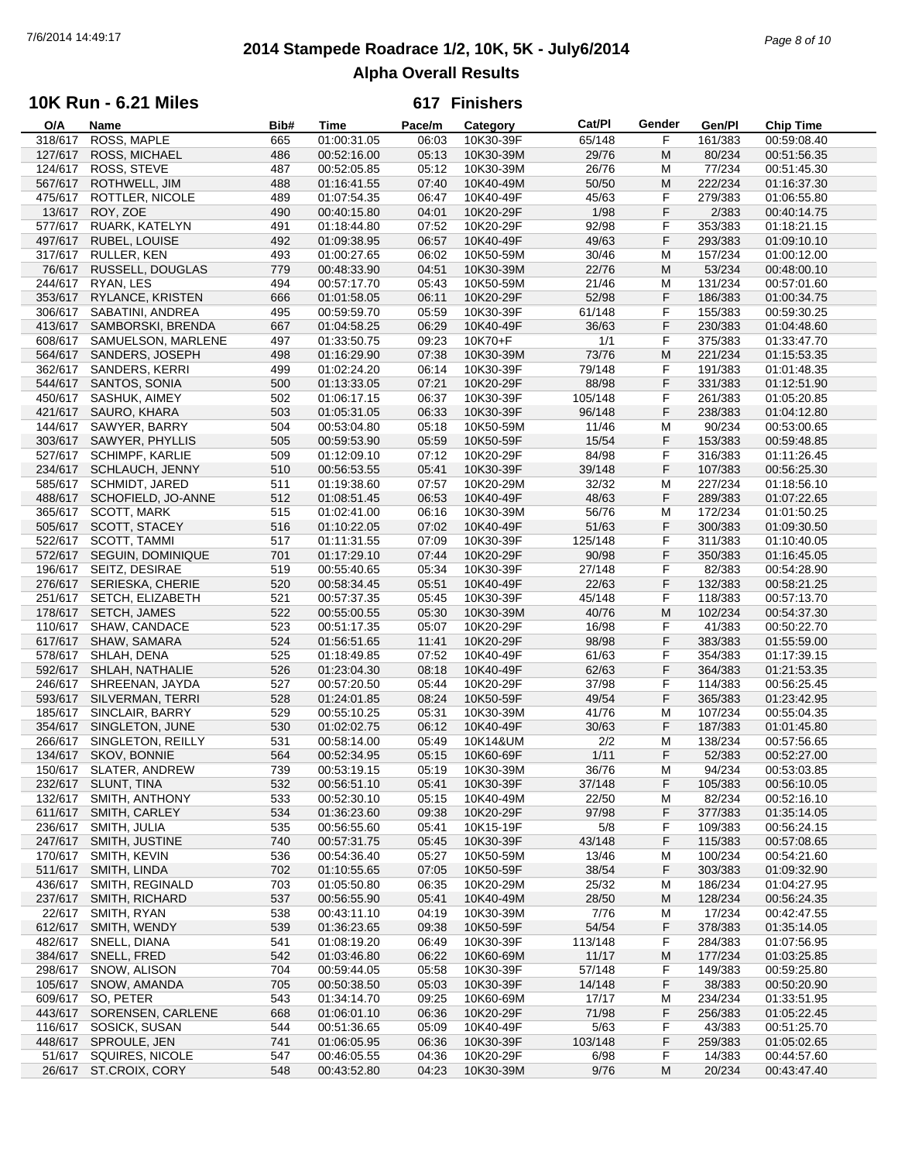## **2014 Stampede Roadrace 1/2, 10K, 5K - July6/2014** 7/6/2014 14:49:17 *Page 8 of 10* **Alpha Overall Results**

### **10K Run - 6.21 Miles**

| O/A     | Name                   | Bib# | Time        | Pace/m | Category  | Cat/PI  | Gender | Gen/Pl  | Chip Time   |
|---------|------------------------|------|-------------|--------|-----------|---------|--------|---------|-------------|
| 318/617 | ROSS, MAPLE            | 665  | 01:00:31.05 | 06:03  | 10K30-39F | 65/148  | F      | 161/383 | 00:59:08.40 |
| 127/617 | ROSS, MICHAEL          | 486  | 00:52:16.00 | 05:13  | 10K30-39M | 29/76   | M      | 80/234  | 00:51:56.35 |
| 124/617 | ROSS, STEVE            | 487  | 00:52:05.85 | 05:12  | 10K30-39M | 26/76   | M      | 77/234  | 00:51:45.30 |
| 567/617 | ROTHWELL, JIM          | 488  | 01:16:41.55 | 07:40  | 10K40-49M | 50/50   | M      | 222/234 | 01:16:37.30 |
|         |                        |      |             |        |           |         |        |         |             |
| 475/617 | ROTTLER, NICOLE        | 489  | 01:07:54.35 | 06:47  | 10K40-49F | 45/63   | F      | 279/383 | 01:06:55.80 |
| 13/617  | ROY, ZOE               | 490  | 00:40:15.80 | 04:01  | 10K20-29F | 1/98    | F      | 2/383   | 00:40:14.75 |
| 577/617 | RUARK, KATELYN         | 491  | 01:18:44.80 | 07:52  | 10K20-29F | 92/98   | F      | 353/383 | 01:18:21.15 |
| 497/617 | RUBEL, LOUISE          | 492  | 01:09:38.95 | 06:57  | 10K40-49F | 49/63   | F      | 293/383 | 01:09:10.10 |
| 317/617 | RULLER, KEN            | 493  | 01:00:27.65 | 06:02  | 10K50-59M | 30/46   | M      | 157/234 | 01:00:12.00 |
| 76/617  | RUSSELL, DOUGLAS       | 779  | 00:48:33.90 | 04:51  | 10K30-39M | 22/76   | M      | 53/234  | 00:48:00.10 |
|         | RYAN, LES              | 494  | 00:57:17.70 | 05:43  |           | 21/46   | M      |         |             |
| 244/617 |                        |      |             |        | 10K50-59M |         |        | 131/234 | 00:57:01.60 |
| 353/617 | RYLANCE, KRISTEN       | 666  | 01:01:58.05 | 06:11  | 10K20-29F | 52/98   | F      | 186/383 | 01:00:34.75 |
| 306/617 | SABATINI, ANDREA       | 495  | 00:59:59.70 | 05:59  | 10K30-39F | 61/148  | F      | 155/383 | 00:59:30.25 |
| 413/617 | SAMBORSKI, BRENDA      | 667  | 01:04:58.25 | 06:29  | 10K40-49F | 36/63   | F      | 230/383 | 01:04:48.60 |
| 608/617 | SAMUELSON, MARLENE     | 497  | 01:33:50.75 | 09:23  | 10K70+F   | 1/1     | F      | 375/383 | 01:33:47.70 |
| 564/617 | SANDERS, JOSEPH        | 498  | 01:16:29.90 | 07:38  | 10K30-39M | 73/76   | M      | 221/234 | 01:15:53.35 |
| 362/617 | SANDERS, KERRI         | 499  | 01:02:24.20 | 06:14  | 10K30-39F | 79/148  | F      | 191/383 | 01:01:48.35 |
|         |                        |      | 01:13:33.05 | 07:21  |           | 88/98   | F      |         |             |
| 544/617 | SANTOS, SONIA          | 500  |             |        | 10K20-29F |         |        | 331/383 | 01:12:51.90 |
| 450/617 | SASHUK, AIMEY          | 502  | 01:06:17.15 | 06:37  | 10K30-39F | 105/148 | F      | 261/383 | 01:05:20.85 |
| 421/617 | SAURO, KHARA           | 503  | 01:05:31.05 | 06:33  | 10K30-39F | 96/148  | F      | 238/383 | 01:04:12.80 |
| 144/617 | SAWYER, BARRY          | 504  | 00:53:04.80 | 05:18  | 10K50-59M | 11/46   | M      | 90/234  | 00:53:00.65 |
| 303/617 | SAWYER, PHYLLIS        | 505  | 00:59:53.90 | 05:59  | 10K50-59F | 15/54   | F      | 153/383 | 00:59:48.85 |
| 527/617 | <b>SCHIMPF, KARLIE</b> | 509  | 01:12:09.10 | 07:12  | 10K20-29F | 84/98   | F      | 316/383 | 01:11:26.45 |
|         |                        |      |             |        |           |         |        |         |             |
| 234/617 | SCHLAUCH, JENNY        | 510  | 00:56:53.55 | 05:41  | 10K30-39F | 39/148  | F      | 107/383 | 00:56:25.30 |
| 585/617 | <b>SCHMIDT, JARED</b>  | 511  | 01:19:38.60 | 07:57  | 10K20-29M | 32/32   | М      | 227/234 | 01:18:56.10 |
| 488/617 | SCHOFIELD, JO-ANNE     | 512  | 01:08:51.45 | 06:53  | 10K40-49F | 48/63   | F      | 289/383 | 01:07:22.65 |
| 365/617 | <b>SCOTT, MARK</b>     | 515  | 01:02:41.00 | 06:16  | 10K30-39M | 56/76   | M      | 172/234 | 01:01:50.25 |
| 505/617 | SCOTT, STACEY          | 516  | 01:10:22.05 | 07:02  | 10K40-49F | 51/63   | F      | 300/383 | 01:09:30.50 |
| 522/617 | <b>SCOTT, TAMMI</b>    | 517  | 01:11:31.55 | 07:09  | 10K30-39F | 125/148 | F      | 311/383 | 01:10:40.05 |
| 572/617 | SEGUIN, DOMINIQUE      | 701  | 01:17:29.10 | 07:44  | 10K20-29F | 90/98   | F      | 350/383 | 01:16:45.05 |
|         |                        |      |             |        |           |         |        |         |             |
| 196/617 | SEITZ, DESIRAE         | 519  | 00:55:40.65 | 05:34  | 10K30-39F | 27/148  | F      | 82/383  | 00:54:28.90 |
| 276/617 | SERIESKA, CHERIE       | 520  | 00:58:34.45 | 05:51  | 10K40-49F | 22/63   | F      | 132/383 | 00:58:21.25 |
| 251/617 | SETCH, ELIZABETH       | 521  | 00:57:37.35 | 05:45  | 10K30-39F | 45/148  | F      | 118/383 | 00:57:13.70 |
| 178/617 | SETCH, JAMES           | 522  | 00:55:00.55 | 05:30  | 10K30-39M | 40/76   | M      | 102/234 | 00:54:37.30 |
| 110/617 | SHAW, CANDACE          | 523  | 00:51:17.35 | 05:07  | 10K20-29F | 16/98   | F      | 41/383  | 00:50:22.70 |
| 617/617 | SHAW, SAMARA           | 524  | 01:56:51.65 | 11:41  | 10K20-29F | 98/98   | F      | 383/383 | 01:55:59.00 |
|         |                        |      |             |        |           |         |        |         |             |
| 578/617 | SHLAH, DENA            | 525  | 01:18:49.85 | 07:52  | 10K40-49F | 61/63   | F      | 354/383 | 01:17:39.15 |
| 592/617 | SHLAH, NATHALIE        | 526  | 01:23:04.30 | 08:18  | 10K40-49F | 62/63   | F      | 364/383 | 01:21:53.35 |
| 246/617 | SHREENAN, JAYDA        | 527  | 00:57:20.50 | 05:44  | 10K20-29F | 37/98   | F      | 114/383 | 00:56:25.45 |
| 593/617 | SILVERMAN, TERRI       | 528  | 01:24:01.85 | 08:24  | 10K50-59F | 49/54   | F      | 365/383 | 01:23:42.95 |
| 185/617 | SINCLAIR, BARRY        | 529  | 00:55:10.25 | 05:31  | 10K30-39M | 41/76   | М      | 107/234 | 00:55:04.35 |
| 354/617 | SINGLETON, JUNE        | 530  | 01:02:02.75 | 06:12  | 10K40-49F | 30/63   | F      | 187/383 | 01:01:45.80 |
| 266/617 | SINGLETON, REILLY      | 531  | 00:58:14.00 | 05:49  | 10K14&UM  | 2/2     | М      | 138/234 | 00:57:56.65 |
|         |                        |      |             |        |           |         |        |         |             |
| 134/617 | SKOV, BONNIE           | 564  | 00:52:34.95 | 05:15  | 10K60-69F | 1/11    | F      | 52/383  | 00:52:27.00 |
|         | 150/617 SLATER, ANDREW | 739  | 00:53:19.15 | 05:19  | 10K30-39M | 36/76   | M      | 94/234  | 00:53:03.85 |
|         | 232/617 SLUNT, TINA    | 532  | 00:56:51.10 | 05:41  | 10K30-39F | 37/148  | F      | 105/383 | 00:56:10.05 |
| 132/617 | SMITH, ANTHONY         | 533  | 00:52:30.10 | 05:15  | 10K40-49M | 22/50   | M      | 82/234  | 00:52:16.10 |
| 611/617 | SMITH, CARLEY          | 534  | 01:36:23.60 | 09:38  | 10K20-29F | 97/98   | F      | 377/383 | 01:35:14.05 |
| 236/617 | SMITH, JULIA           | 535  | 00:56:55.60 | 05:41  | 10K15-19F | 5/8     | F      | 109/383 | 00:56:24.15 |
| 247/617 | SMITH, JUSTINE         | 740  | 00:57:31.75 | 05:45  | 10K30-39F | 43/148  | F      | 115/383 | 00:57:08.65 |
|         |                        |      |             |        |           |         |        |         |             |
| 170/617 | SMITH, KEVIN           | 536  | 00:54:36.40 | 05:27  | 10K50-59M | 13/46   | M      | 100/234 | 00:54:21.60 |
| 511/617 | SMITH, LINDA           | 702  | 01:10:55.65 | 07:05  | 10K50-59F | 38/54   | F      | 303/383 | 01:09:32.90 |
| 436/617 | SMITH, REGINALD        | 703  | 01:05:50.80 | 06:35  | 10K20-29M | 25/32   | M      | 186/234 | 01:04:27.95 |
| 237/617 | SMITH, RICHARD         | 537  | 00:56:55.90 | 05:41  | 10K40-49M | 28/50   | M      | 128/234 | 00:56:24.35 |
| 22/617  | SMITH, RYAN            | 538  | 00:43:11.10 | 04:19  | 10K30-39M | 7/76    | M      | 17/234  | 00:42:47.55 |
| 612/617 | SMITH, WENDY           | 539  | 01:36:23.65 | 09:38  | 10K50-59F | 54/54   | F      | 378/383 | 01:35:14.05 |
|         |                        |      |             |        |           |         |        |         |             |
| 482/617 | SNELL, DIANA           | 541  | 01:08:19.20 | 06:49  | 10K30-39F | 113/148 | F      | 284/383 | 01:07:56.95 |
| 384/617 | SNELL, FRED            | 542  | 01:03:46.80 | 06:22  | 10K60-69M | 11/17   | M      | 177/234 | 01:03:25.85 |
| 298/617 | SNOW, ALISON           | 704  | 00:59:44.05 | 05:58  | 10K30-39F | 57/148  | F      | 149/383 | 00:59:25.80 |
| 105/617 | SNOW, AMANDA           | 705  | 00:50:38.50 | 05:03  | 10K30-39F | 14/148  | F      | 38/383  | 00:50:20.90 |
| 609/617 | SO, PETER              | 543  | 01:34:14.70 | 09:25  | 10K60-69M | 17/17   | M      | 234/234 | 01:33:51.95 |
| 443/617 | SORENSEN, CARLENE      | 668  | 01:06:01.10 | 06:36  | 10K20-29F | 71/98   | F      | 256/383 | 01:05:22.45 |
| 116/617 | SOSICK, SUSAN          | 544  | 00:51:36.65 | 05:09  | 10K40-49F | 5/63    | F      | 43/383  | 00:51:25.70 |
|         |                        |      |             |        |           |         |        |         |             |
| 448/617 | SPROULE, JEN           | 741  | 01:06:05.95 | 06:36  | 10K30-39F | 103/148 | F      | 259/383 | 01:05:02.65 |
| 51/617  | SQUIRES, NICOLE        | 547  | 00:46:05.55 | 04:36  | 10K20-29F | 6/98    | F      | 14/383  | 00:44:57.60 |
|         | 26/617 ST.CROIX, CORY  | 548  | 00:43:52.80 | 04:23  | 10K30-39M | 9/76    | M      | 20/234  | 00:43:47.40 |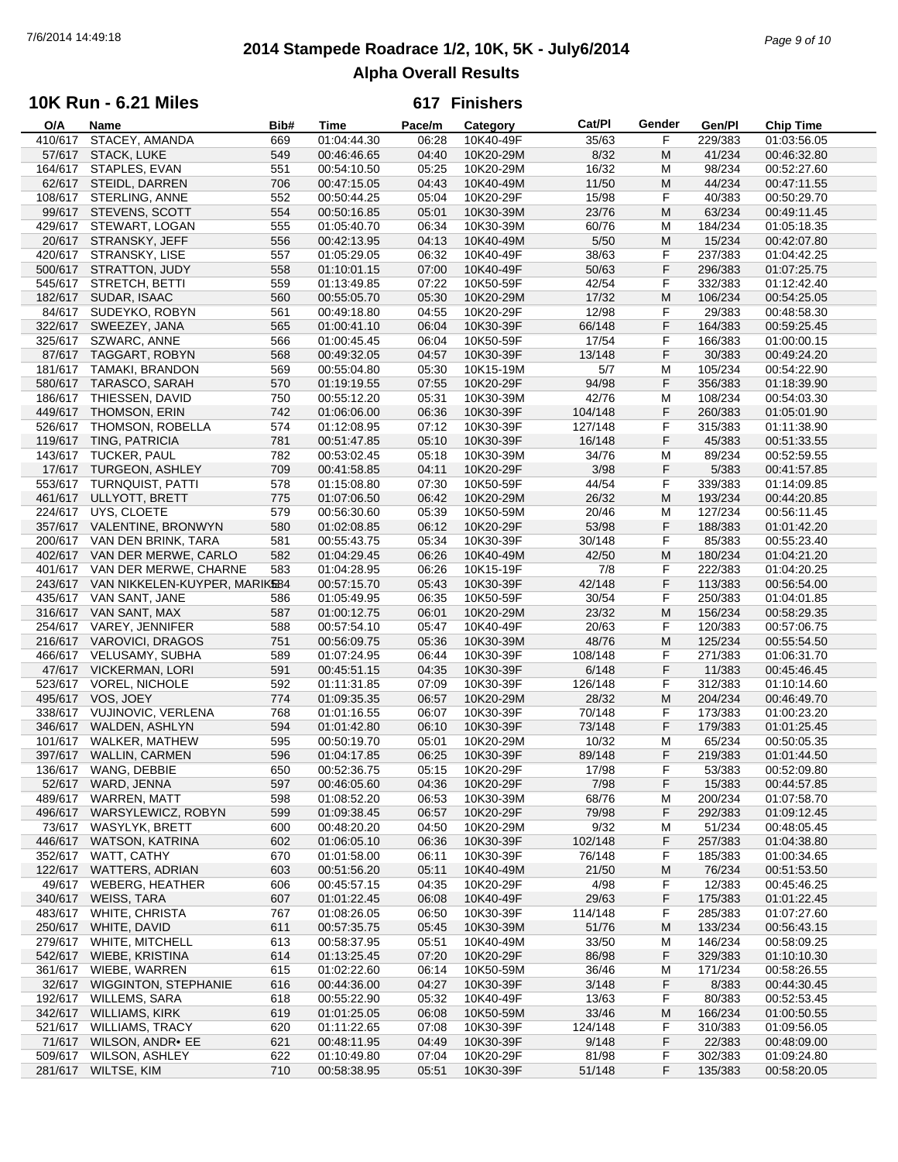## **2014 Stampede Roadrace 1/2, 10K, 5K - July6/2014** 7/6/2014 14:49:18 *Page 9 of 10* **Alpha Overall Results**

## **10K Run - 6.21 Miles**

| O/A     | Name                          | Bib# | Time        | Pace/m | Category  | Cat/PI  | Gender | Gen/Pl  | Chip Time   |
|---------|-------------------------------|------|-------------|--------|-----------|---------|--------|---------|-------------|
| 410/617 | STACEY, AMANDA                | 669  | 01:04:44.30 | 06:28  | 10K40-49F | 35/63   | F      | 229/383 | 01:03:56.05 |
| 57/617  | STACK, LUKE                   | 549  | 00:46:46.65 | 04:40  | 10K20-29M | 8/32    | M      | 41/234  | 00:46:32.80 |
| 164/617 | STAPLES, EVAN                 | 551  | 00:54:10.50 | 05:25  | 10K20-29M | 16/32   | M      | 98/234  | 00:52:27.60 |
| 62/617  | STEIDL, DARREN                | 706  | 00:47:15.05 | 04:43  | 10K40-49M | 11/50   | M      | 44/234  | 00:47:11.55 |
| 108/617 | <b>STERLING, ANNE</b>         | 552  | 00:50:44.25 | 05:04  | 10K20-29F | 15/98   | F      | 40/383  | 00:50:29.70 |
|         |                               |      |             |        |           |         |        |         |             |
| 99/617  | STEVENS, SCOTT                | 554  | 00:50:16.85 | 05:01  | 10K30-39M | 23/76   | M      | 63/234  | 00:49:11.45 |
| 429/617 | STEWART, LOGAN                | 555  | 01:05:40.70 | 06:34  | 10K30-39M | 60/76   | M      | 184/234 | 01:05:18.35 |
| 20/617  | STRANSKY, JEFF                | 556  | 00:42:13.95 | 04:13  | 10K40-49M | $5/50$  | M      | 15/234  | 00:42:07.80 |
| 420/617 | STRANSKY, LISE                | 557  | 01:05:29.05 | 06:32  | 10K40-49F | 38/63   | F      | 237/383 | 01:04:42.25 |
| 500/617 | STRATTON, JUDY                | 558  | 01:10:01.15 | 07:00  | 10K40-49F | 50/63   | F      | 296/383 | 01:07:25.75 |
| 545/617 | STRETCH, BETTI                | 559  | 01:13:49.85 | 07:22  | 10K50-59F | 42/54   | F      | 332/383 | 01:12:42.40 |
| 182/617 | SUDAR, ISAAC                  | 560  | 00:55:05.70 | 05:30  | 10K20-29M | 17/32   | M      | 106/234 | 00:54:25.05 |
| 84/617  | SUDEYKO, ROBYN                | 561  | 00:49:18.80 | 04:55  | 10K20-29F | 12/98   | F      | 29/383  | 00:48:58.30 |
| 322/617 | SWEEZEY, JANA                 | 565  | 01:00:41.10 | 06:04  | 10K30-39F | 66/148  | F      | 164/383 | 00:59:25.45 |
|         |                               |      |             |        |           |         |        |         |             |
| 325/617 | SZWARC, ANNE                  | 566  | 01:00:45.45 | 06:04  | 10K50-59F | 17/54   | F      | 166/383 | 01:00:00.15 |
| 87/617  | TAGGART, ROBYN                | 568  | 00:49:32.05 | 04:57  | 10K30-39F | 13/148  | F      | 30/383  | 00:49:24.20 |
| 181/617 | <b>TAMAKI, BRANDON</b>        | 569  | 00:55:04.80 | 05:30  | 10K15-19M | 5/7     | M      | 105/234 | 00:54:22.90 |
| 580/617 | TARASCO, SARAH                | 570  | 01:19:19.55 | 07:55  | 10K20-29F | 94/98   | F      | 356/383 | 01:18:39.90 |
| 186/617 | THIESSEN, DAVID               | 750  | 00:55:12.20 | 05:31  | 10K30-39M | 42/76   | M      | 108/234 | 00:54:03.30 |
| 449/617 | <b>THOMSON, ERIN</b>          | 742  | 01:06:06.00 | 06:36  | 10K30-39F | 104/148 | F      | 260/383 | 01:05:01.90 |
| 526/617 | THOMSON, ROBELLA              | 574  | 01:12:08.95 | 07:12  | 10K30-39F | 127/148 | F      | 315/383 | 01:11:38.90 |
| 119/617 | TING, PATRICIA                | 781  | 00:51:47.85 | 05:10  | 10K30-39F | 16/148  | F      | 45/383  | 00:51:33.55 |
| 143/617 | <b>TUCKER, PAUL</b>           | 782  | 00:53:02.45 | 05:18  | 10K30-39M | 34/76   | M      | 89/234  | 00:52:59.55 |
|         |                               |      |             |        |           |         |        |         |             |
| 17/617  | TURGEON, ASHLEY               | 709  | 00:41:58.85 | 04:11  | 10K20-29F | 3/98    | F      | 5/383   | 00:41:57.85 |
| 553/617 | <b>TURNQUIST, PATTI</b>       | 578  | 01:15:08.80 | 07:30  | 10K50-59F | 44/54   | F      | 339/383 | 01:14:09.85 |
| 461/617 | ULLYOTT, BRETT                | 775  | 01:07:06.50 | 06:42  | 10K20-29M | 26/32   | M      | 193/234 | 00:44:20.85 |
| 224/617 | UYS, CLOETE                   | 579  | 00:56:30.60 | 05:39  | 10K50-59M | 20/46   | M      | 127/234 | 00:56:11.45 |
|         | 357/617 VALENTINE, BRONWYN    | 580  | 01:02:08.85 | 06:12  | 10K20-29F | 53/98   | F      | 188/383 | 01:01:42.20 |
| 200/617 | VAN DEN BRINK, TARA           | 581  | 00:55:43.75 | 05:34  | 10K30-39F | 30/148  | F      | 85/383  | 00:55:23.40 |
|         | 402/617 VAN DER MERWE, CARLO  | 582  | 01:04:29.45 | 06:26  | 10K40-49M | 42/50   | M      | 180/234 | 01:04:21.20 |
| 401/617 | VAN DER MERWE, CHARNE         | 583  | 01:04:28.95 | 06:26  | 10K15-19F | 7/8     | F      | 222/383 | 01:04:20.25 |
| 243/617 | VAN NIKKELEN-KUYPER, MARIKE84 |      | 00:57:15.70 | 05:43  | 10K30-39F | 42/148  | F      | 113/383 | 00:56:54.00 |
| 435/617 | VAN SANT, JANE                |      | 01:05:49.95 | 06:35  | 10K50-59F | 30/54   | F      | 250/383 | 01:04:01.85 |
|         |                               | 586  |             |        |           |         |        |         |             |
| 316/617 | VAN SANT, MAX                 | 587  | 01:00:12.75 | 06:01  | 10K20-29M | 23/32   | M      | 156/234 | 00:58:29.35 |
| 254/617 | VAREY, JENNIFER               | 588  | 00:57:54.10 | 05:47  | 10K40-49F | 20/63   | F      | 120/383 | 00:57:06.75 |
| 216/617 | <b>VAROVICI, DRAGOS</b>       | 751  | 00:56:09.75 | 05:36  | 10K30-39M | 48/76   | M      | 125/234 | 00:55:54.50 |
| 466/617 | VELUSAMY, SUBHA               | 589  | 01:07:24.95 | 06:44  | 10K30-39F | 108/148 | F      | 271/383 | 01:06:31.70 |
|         | 47/617 VICKERMAN, LORI        | 591  | 00:45:51.15 | 04:35  | 10K30-39F | 6/148   | F      | 11/383  | 00:45:46.45 |
| 523/617 | <b>VOREL, NICHOLE</b>         | 592  | 01:11:31.85 | 07:09  | 10K30-39F | 126/148 | F      | 312/383 | 01:10:14.60 |
| 495/617 | VOS, JOEY                     | 774  | 01:09:35.35 | 06:57  | 10K20-29M | 28/32   | M      | 204/234 | 00:46:49.70 |
| 338/617 | VUJINOVIC, VERLENA            | 768  | 01:01:16.55 | 06:07  | 10K30-39F | 70/148  | F      | 173/383 | 01:00:23.20 |
| 346/617 | WALDEN, ASHLYN                | 594  | 01:01:42.80 | 06:10  | 10K30-39F | 73/148  | F      | 179/383 | 01:01:25.45 |
| 101/617 | WALKER, MATHEW                | 595  | 00:50:19.70 | 05:01  | 10K20-29M | 10/32   | M      | 65/234  | 00:50:05.35 |
| 397/617 | <b>WALLIN, CARMEN</b>         | 596  | 01:04:17.85 | 06:25  | 10K30-39F | 89/148  | F      | 219/383 | 01:01:44.50 |
|         | 136/617 WANG, DEBBIE          | 650  | 00:52:36.75 | 05:15  | 10K20-29F | 17/98   | F      | 53/383  | 00:52:09.80 |
|         |                               |      |             |        |           |         |        |         |             |
|         | 52/617 WARD, JENNA            | 597  | 00:46:05.60 | 04:36  | 10K20-29F | 7/98    | F      | 15/383  | 00:44:57.85 |
| 489/617 | WARREN, MATT                  | 598  | 01:08:52.20 | 06:53  | 10K30-39M | 68/76   | M      | 200/234 | 01:07:58.70 |
| 496/617 | WARSYLEWICZ, ROBYN            | 599  | 01:09:38.45 | 06:57  | 10K20-29F | 79/98   | F      | 292/383 | 01:09:12.45 |
| 73/617  | <b>WASYLYK, BRETT</b>         | 600  | 00:48:20.20 | 04:50  | 10K20-29M | 9/32    | M      | 51/234  | 00:48:05.45 |
| 446/617 | <b>WATSON, KATRINA</b>        | 602  | 01:06:05.10 | 06:36  | 10K30-39F | 102/148 | F      | 257/383 | 01:04:38.80 |
| 352/617 | WATT, CATHY                   | 670  | 01:01:58.00 | 06:11  | 10K30-39F | 76/148  | F      | 185/383 | 01:00:34.65 |
| 122/617 | <b>WATTERS, ADRIAN</b>        | 603  | 00:51:56.20 | 05:11  | 10K40-49M | 21/50   | M      | 76/234  | 00:51:53.50 |
| 49/617  | <b>WEBERG, HEATHER</b>        | 606  | 00:45:57.15 | 04:35  | 10K20-29F | 4/98    | F      | 12/383  | 00:45:46.25 |
| 340/617 | WEISS, TARA                   | 607  | 01:01:22.45 | 06:08  | 10K40-49F | 29/63   | F      | 175/383 | 01:01:22.45 |
| 483/617 | WHITE, CHRISTA                | 767  | 01:08:26.05 | 06:50  | 10K30-39F | 114/148 | F      | 285/383 | 01:07:27.60 |
| 250/617 | WHITE, DAVID                  | 611  | 00:57:35.75 | 05:45  | 10K30-39M | 51/76   | M      | 133/234 | 00:56:43.15 |
|         |                               |      |             |        |           |         |        |         |             |
| 279/617 | WHITE, MITCHELL               | 613  | 00:58:37.95 | 05:51  | 10K40-49M | 33/50   | M      | 146/234 | 00:58:09.25 |
| 542/617 | WIEBE, KRISTINA               | 614  | 01:13:25.45 | 07:20  | 10K20-29F | 86/98   | F      | 329/383 | 01:10:10.30 |
| 361/617 | WIEBE, WARREN                 | 615  | 01:02:22.60 | 06:14  | 10K50-59M | 36/46   | M      | 171/234 | 00:58:26.55 |
| 32/617  | <b>WIGGINTON, STEPHANIE</b>   | 616  | 00:44:36.00 | 04:27  | 10K30-39F | 3/148   | F      | 8/383   | 00:44:30.45 |
| 192/617 | WILLEMS, SARA                 | 618  | 00:55:22.90 | 05:32  | 10K40-49F | 13/63   | F      | 80/383  | 00:52:53.45 |
| 342/617 | <b>WILLIAMS, KIRK</b>         | 619  | 01:01:25.05 | 06:08  | 10K50-59M | 33/46   | M      | 166/234 | 01:00:50.55 |
| 521/617 | <b>WILLIAMS, TRACY</b>        | 620  | 01:11:22.65 | 07:08  | 10K30-39F | 124/148 | F      | 310/383 | 01:09:56.05 |
| 71/617  | <b>WILSON, ANDR• EE</b>       | 621  | 00:48:11.95 | 04:49  | 10K30-39F | 9/148   | F      | 22/383  | 00:48:09.00 |
| 509/617 | <b>WILSON, ASHLEY</b>         | 622  | 01:10:49.80 | 07:04  | 10K20-29F | 81/98   | F      | 302/383 | 01:09:24.80 |
|         | 281/617 WILTSE, KIM           | 710  | 00:58:38.95 | 05:51  | 10K30-39F | 51/148  | F      | 135/383 | 00:58:20.05 |
|         |                               |      |             |        |           |         |        |         |             |